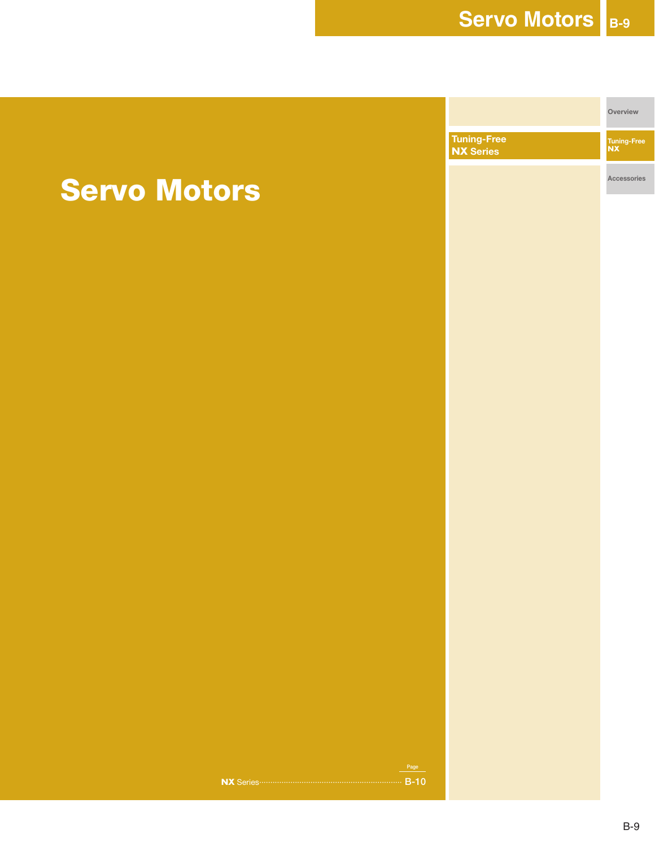**Tuning-Free NX Overview Tuning-Free NX Series**

**Accessories**

# **Servo Motors**

**NX** Series ································································ **B-10**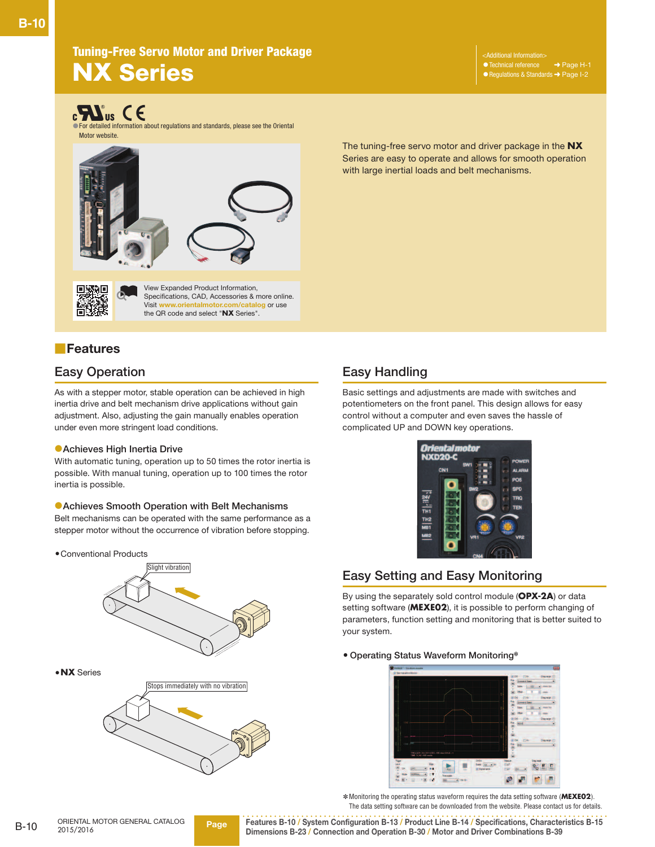**Additional Information** ● Technical reference → Page H-1 ● Regulations & Standards → Page I-2

# **CONSIST OF STAND SET ASSESS**<br>The For detailed information about regulations and standards, please see the Oriental

Motor website.



View Expanded Product Information, Specifications, CAD, Accessories & more online.<br>Visit www.orientalmotor.com/catalog or use **Video** or use the QR code and select "**NX** Series".

## ■**Features**

### **Easy Operation**

As with a stepper motor, stable operation can be achieved in high inertia drive and belt mechanism drive applications without gain adjustment. Also, adjusting the gain manually enables operation under even more stringent load conditions.

#### ●**Achieves High Inertia Drive**

With automatic tuning, operation up to 50 times the rotor inertia is possible. With manual tuning, operation up to 100 times the rotor inertia is possible.

#### ●**Achieves Smooth Operation with Belt Mechanisms**

Belt mechanisms can be operated with the same performance as a stepper motor without the occurrence of vibration before stopping.

●Conventional Products



●**NX** Series



## **Easy Handling**

Basic settings and adjustments are made with switches and potentiometers on the front panel. This design allows for easy control without a computer and even saves the hassle of complicated UP and DOWN key operations.

The tuning-free servo motor and driver package in the **NX** Series are easy to operate and allows for smooth operation

with large inertial loads and belt mechanisms.



## **Easy Setting and Easy Monitoring**

By using the separately sold control module (**OPX-2A**) or data setting software (**MEXE02**), it is possible to perform changing of parameters, function setting and monitoring that is better suited to your system.

#### ● **Operating Status Waveform Monitoring**✽



 ✽Monitoring the operating status waveform requires the data setting software (**MEXE02**). The data setting software can be downloaded from the website. Please contact us for details.

**Page Features B-10 / System Configuration B-13 / Product Line B-14 / Specifications, Characteristics B-15 Dimensions B-23 / Connection and Operation B-30 / Motor and Driver Combinations B-39**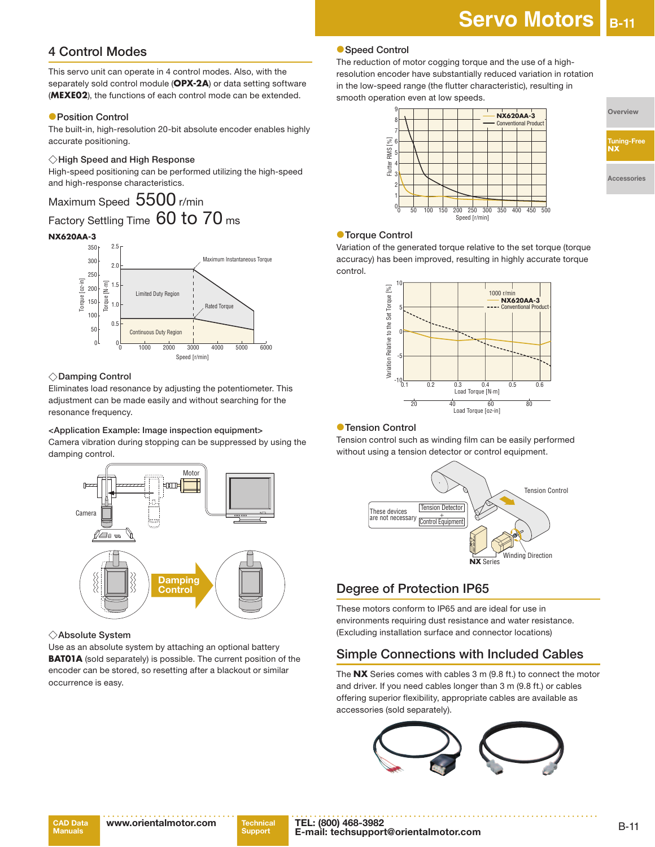## **4 Control Modes**

This servo unit can operate in 4 control modes. Also, with the separately sold control module (**OPX-2A**) or data setting software (**MEXE02**), the functions of each control mode can be extended.

#### ●**Position Control**

The built-in, high-resolution 20-bit absolute encoder enables highly accurate positioning.

#### ◇**High Speed and High Response**

High-speed positioning can be performed utilizing the high-speed and high-response characteristics.

## Maximum Speed 5500 r/min Factory Settling Time 60 to 70 ms

## **NX620AA-3**



#### ◇**Damping Control**

Eliminates load resonance by adjusting the potentiometer. This adjustment can be made easily and without searching for the resonance frequency.

#### **<Application Example: Image inspection equipment>**

Camera vibration during stopping can be suppressed by using the damping control.



#### ◇**Absolute System**

Use as an absolute system by attaching an optional battery **BAT01A** (sold separately) is possible. The current position of the encoder can be stored, so resetting after a blackout or similar occurrence is easy.

#### ●**Speed Control**

The reduction of motor cogging torque and the use of a highresolution encoder have substantially reduced variation in rotation in the low-speed range (the flutter characteristic), resulting in smooth operation even at low speeds.



**Overview**

**Tuning-Free NX**

**Accessories**

#### ●**Torque Control**

Variation of the generated torque relative to the set torque (torque accuracy) has been improved, resulting in highly accurate torque control.



#### ●**Tension Control**

Tension control such as winding film can be easily performed without using a tension detector or control equipment.



## **Degree of Protection IP65**

These motors conform to IP65 and are ideal for use in environments requiring dust resistance and water resistance. (Excluding installation surface and connector locations)

## **Simple Connections with Included Cables**

The **NX** Series comes with cables 3 m (9.8 ft.) to connect the motor and driver. If you need cables longer than 3 m (9.8 ft.) or cables offering superior flexibility, appropriate cables are available as accessories (sold separately).

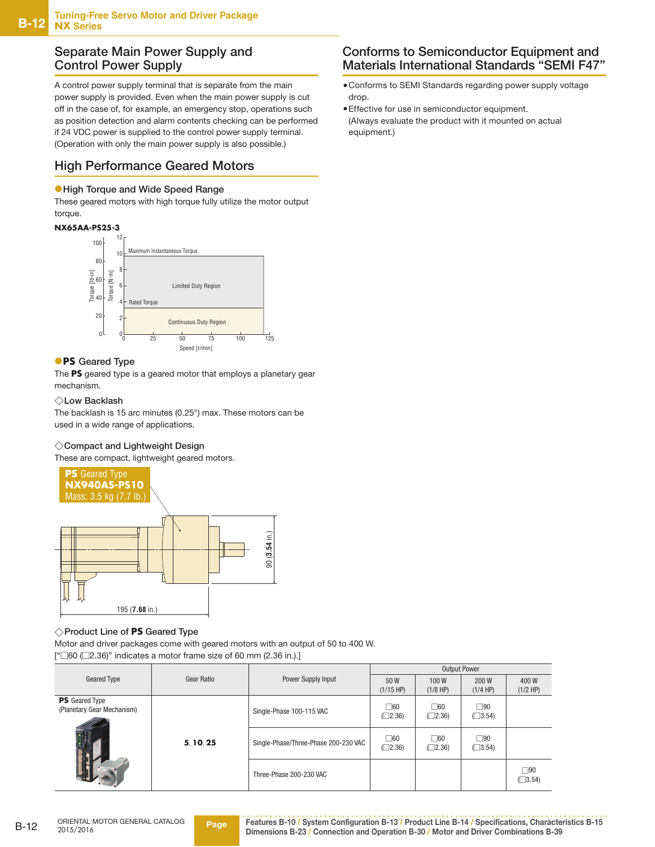### **Separate Main Power Supply and Control Power Supply**

A control power supply terminal that is separate from the main power supply is provided. Even when the main power supply is cut off in the case of, for example, an emergency stop, operations such as position detection and alarm contents checking can be performed if 24 VDC power is supplied to the control power supply terminal. (Operation with only the main power supply is also possible.)

## **High Performance Geared Motors**

#### ●**High Torque and Wide Speed Range**

These geared motors with high torque fully utilize the motor output torque.

#### **NX65AA-PS25-3**



#### ●**PS Geared Type**

The **PS** geared type is a geared motor that employs a planetary gear mechanism.

#### ◇**Low Backlash**

The backlash is 15 arc minutes (0.25°) max. These motors can be used in a wide range of applications.

#### ◇**Compact and Lightweight Design**

These are compact, lightweight geared motors.



#### ◇**Product Line of PS Geared Type**

Motor and driver packages come with geared motors with an output of 50 to 400 W. ["□60 (□2.36)" indicates a motor frame size of 60 mm (2.36 in.).]

|                                                     |            |                                      |                               | <b>Output Power</b>          |                              |                     |
|-----------------------------------------------------|------------|--------------------------------------|-------------------------------|------------------------------|------------------------------|---------------------|
| Geared Type                                         | Gear Ratio | Power Supply Input                   | 50 W<br>$(1/15$ HP)           | 100W<br>$(1/8$ HP)           | 200 W<br>$(1/4$ HP)          | 400W<br>$(1/2$ HP)  |
| <b>PS</b> Geared Type<br>(Planetary Gear Mechanism) |            | Single-Phase 100-115 VAC             | $\Box 60$<br>$(\square 2.36)$ | $\square$ 60<br>$\Box$ 2.36) | $\square$ 90<br>$\Box$ 3.54) |                     |
|                                                     | 5.10.25    | Single-Phase/Three-Phase 200-230 VAC | $\Box 60$<br>$\Box$ 2.36)     | $\Box 60$<br>$\Box$ 2.36)    | $\Box$ 90<br>$\Box$ 3.54)    |                     |
|                                                     |            | Three-Phase 200-230 VAC              |                               |                              |                              | ∏90<br>$\Box$ 3.54) |

### **Conforms to Semiconductor Equipment and Materials International Standards "SEMI F47"**

- ●Conforms to SEMI Standards regarding power supply voltage drop.
- ●Effective for use in semiconductor equipment. (Always evaluate the product with it mounted on actual equipment.)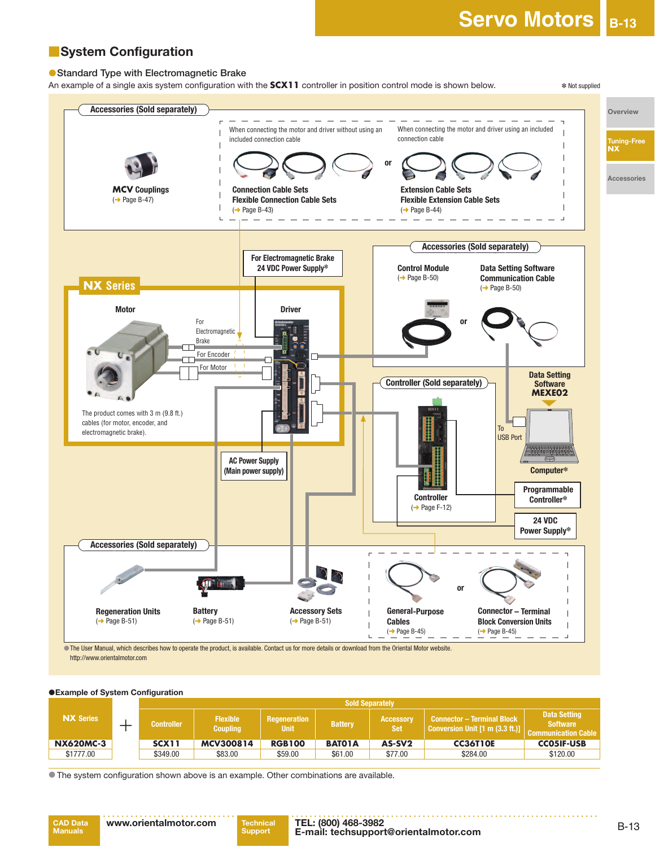## ■**System Configuration**

#### ●**Standard Type with Electromagnetic Brake**

An example of a single axis system configuration with the **SCX11** controller in position control mode is shown below. <br><sup>\*</sup> Not supplied



 ●The User Manual, which describes how to operate the product, is available. Contact us for more details or download from the Oriental Motor website. http://www.orientalmotor.com

#### $\bullet$  **Example of System Configuration**

|                  |                   |                                    |                                    | <b>Sold Separately</b> |                                |                                                                                                    |                                                                      |
|------------------|-------------------|------------------------------------|------------------------------------|------------------------|--------------------------------|----------------------------------------------------------------------------------------------------|----------------------------------------------------------------------|
| <b>NX Series</b> | <b>Controller</b> | <b>Flexible</b><br><b>Coupling</b> | <b>Regeneration</b><br><b>Unit</b> | <b>Battery</b>         | <b>Accessory</b><br><b>Set</b> | Connector – Terminal Block<br><b>Conversion Unit <math>[1 \text{ m } (3.3 \text{ ft.})]</math></b> | <b>Data Setting</b><br><b>Software</b><br><b>Communication Cable</b> |
| <b>NX620MC-3</b> | <b>SCX11</b>      | MCV300814                          | <b>RGB100</b>                      | <b>BATO1A</b>          | AS-SV <sub>2</sub>             | <b>CC36T10E</b>                                                                                    | <b>CCO5IF-USB</b>                                                    |
| \$1777.00        | \$349.00          | \$83.00                            | \$59.00                            | \$61.00                | \$77.00                        | \$284.00                                                                                           | \$120.00                                                             |

● The system configuration shown above is an example. Other combinations are available.

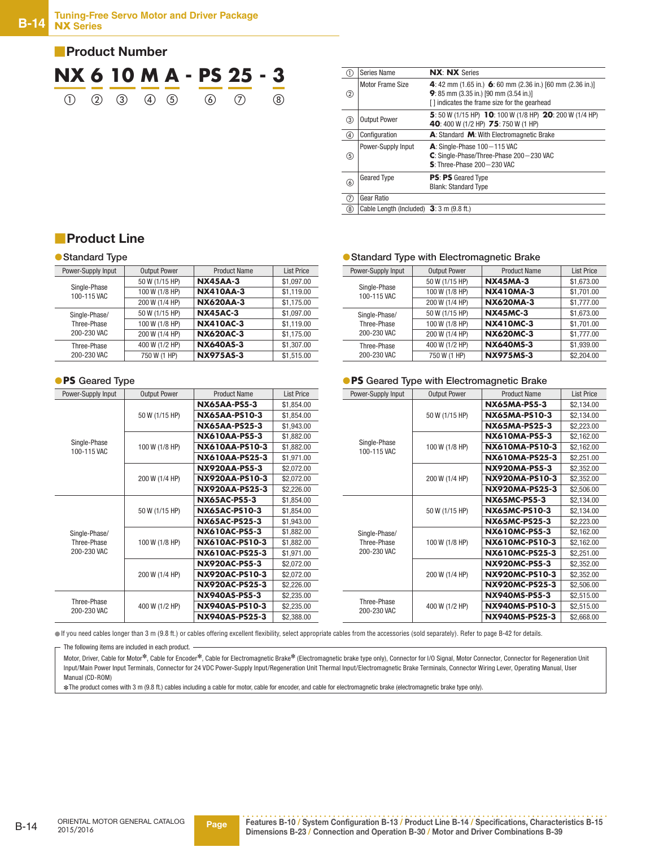

| ⋒             | Series Name                               | <b>NX: NX Series</b>                                                                                                                                 |
|---------------|-------------------------------------------|------------------------------------------------------------------------------------------------------------------------------------------------------|
| ②             | Motor Frame Size                          | 4: 42 mm (1.65 in.) 6: 60 mm (2.36 in.) [60 mm (2.36 in.)]<br>9: 85 mm (3.35 in.) [90 mm (3.54 in.)]<br>[] indicates the frame size for the gearhead |
| ③             | <b>Output Power</b>                       | 5: 50 W (1/15 HP) 10: 100 W (1/8 HP) 20: 200 W (1/4 HP)<br>40: 400 W (1/2 HP) 75: 750 W (1 HP)                                                       |
| ④             | Configuration                             | A: Standard M: With Electromagnetic Brake                                                                                                            |
| (5)           | Power-Supply Input                        | $A:$ Single-Phase $100 - 115$ VAC<br>C: Single-Phase/Three-Phase 200-230 VAC<br>$S:$ Three-Phase 200 - 230 VAC                                       |
| $\circledast$ | <b>Geared Type</b>                        | <b>PS: PS</b> Geared Type<br><b>Blank: Standard Type</b>                                                                                             |
| ℗             | Gear Ratio                                |                                                                                                                                                      |
| (8)           | Cable Length (Included) $3:3$ m (9.8 ft.) |                                                                                                                                                      |

## ■**Product Line**

#### ●**Standard Type**

| Power-Supply Input          | <b>Output Power</b> | <b>Product Name</b> | <b>List Price</b> |
|-----------------------------|---------------------|---------------------|-------------------|
| Single-Phase<br>100-115 VAC | 50 W (1/15 HP)      | <b>NX45AA-3</b>     | \$1,097.00        |
|                             | 100 W (1/8 HP)      | <b>NX410AA-3</b>    | \$1,119.00        |
|                             | 200 W (1/4 HP)      | <b>NX620AA-3</b>    | \$1,175.00        |
| Single-Phase/               | 50 W (1/15 HP)      | <b>NX45AC-3</b>     | \$1,097.00        |
| Three-Phase                 | 100 W (1/8 HP)      | <b>NX410AC-3</b>    | \$1.119.00        |
| 200-230 VAC                 | 200 W (1/4 HP)      | <b>NX620AC-3</b>    | \$1,175.00        |
| Three-Phase                 | 400 W (1/2 HP)      | <b>NX640AS-3</b>    | \$1,307.00        |
| 200-230 VAC                 | 750 W (1 HP)        | <b>NX975AS-3</b>    | \$1.515.00        |

#### ●**PS Geared Type**

| Power-Supply Input          | <b>Output Power</b> | <b>Product Name</b>   | <b>List Price</b> |
|-----------------------------|---------------------|-----------------------|-------------------|
|                             |                     | <b>NX65AA-PS5-3</b>   | \$1,854.00        |
|                             | 50 W (1/15 HP)      | <b>NX65AA-PS10-3</b>  | \$1,854.00        |
|                             |                     | <b>NX65AA-PS25-3</b>  | \$1.943.00        |
|                             |                     | <b>NX610AA-PS5-3</b>  | \$1,882.00        |
| Single-Phase<br>100-115 VAC | 100 W (1/8 HP)      | NX610AA-PS10-3        | \$1,882.00        |
|                             |                     | NX610AA-PS25-3        | \$1.971.00        |
|                             |                     | <b>NX920AA-PS5-3</b>  | \$2,072.00        |
|                             | 200 W (1/4 HP)      | NX920AA-PS10-3        | \$2,072.00        |
|                             |                     | <b>NX920AA-PS25-3</b> | \$2,226.00        |
|                             |                     | <b>NX65AC-PS5-3</b>   | \$1,854.00        |
|                             | 50 W (1/15 HP)      | <b>NX65AC-PS10-3</b>  | \$1,854.00        |
|                             |                     | <b>NX65AC-PS25-3</b>  | \$1,943.00        |
| Single-Phase/               |                     | <b>NX610AC-PS5-3</b>  | \$1,882.00        |
| Three-Phase                 | 100 W (1/8 HP)      | NX610AC-PS10-3        | \$1,882.00        |
| 200-230 VAC                 |                     | <b>NX610AC-PS25-3</b> | \$1,971.00        |
|                             |                     | <b>NX920AC-PS5-3</b>  | \$2,072.00        |
|                             | 200 W (1/4 HP)      | NX920AC-PS10-3        | \$2,072.00        |
|                             |                     | <b>NX920AC-PS25-3</b> | \$2,226.00        |
|                             |                     | <b>NX940AS-PS5-3</b>  | \$2,235.00        |
| Three-Phase<br>200-230 VAC  | 400 W (1/2 HP)      | NX940AS-PS10-3        | \$2,235.00        |
|                             |                     | <b>NX940AS-PS25-3</b> | \$2,388.00        |

#### ●**Standard Type with Electromagnetic Brake**

| Power-Supply Input          | <b>Output Power</b> | <b>Product Name</b> | <b>List Price</b> |
|-----------------------------|---------------------|---------------------|-------------------|
| Single-Phase<br>100-115 VAC | 50 W (1/15 HP)      | <b>NX45MA-3</b>     | \$1.673.00        |
|                             | 100 W (1/8 HP)      | <b>NX410MA-3</b>    | \$1,701.00        |
|                             | 200 W (1/4 HP)      | <b>NX620MA-3</b>    | \$1,777.00        |
| Single-Phase/               | 50 W (1/15 HP)      | <b>NX45MC-3</b>     | \$1,673.00        |
| Three-Phase                 | 100 W (1/8 HP)      | <b>NX410MC-3</b>    | \$1,701.00        |
| 200-230 VAC                 | 200 W (1/4 HP)      | <b>NX620MC-3</b>    | \$1,777.00        |
| Three-Phase<br>200-230 VAC  | 400 W (1/2 HP)      | <b>NX640MS-3</b>    | \$1,939.00        |
|                             | 750 W (1 HP)        | <b>NX975MS-3</b>    | \$2,204.00        |

#### ●**PS Geared Type with Electromagnetic Brake**

| Power-Supply Input          | <b>Output Power</b> | <b>Product Name</b>   | <b>List Price</b> |
|-----------------------------|---------------------|-----------------------|-------------------|
|                             |                     | <b>NX65MA-PS5-3</b>   | \$2,134.00        |
|                             | 50 W (1/15 HP)      | NX65MA-PS10-3         | \$2,134.00        |
|                             |                     | NX65MA-PS25-3         | \$2,223.00        |
|                             |                     | <b>NX610MA-PS5-3</b>  | \$2,162.00        |
| Single-Phase<br>100-115 VAC | 100 W (1/8 HP)      | NX610MA-PS10-3        | \$2,162.00        |
|                             |                     | NX610MA-PS25-3        | \$2,251.00        |
|                             |                     | <b>NX920MA-PS5-3</b>  | \$2,352.00        |
|                             | 200 W (1/4 HP)      | NX920MA-PS10-3        | \$2,352.00        |
|                             |                     | NX920MA-PS25-3        | \$2,506.00        |
|                             |                     | <b>NX65MC-PS5-3</b>   | \$2,134.00        |
|                             | 50 W (1/15 HP)      | <b>NX65MC-PS10-3</b>  | \$2,134.00        |
|                             |                     | <b>NX65MC-PS25-3</b>  | \$2,223.00        |
| Single-Phase/               | 100 W (1/8 HP)      | <b>NX610MC-PS5-3</b>  | \$2,162.00        |
| Three-Phase                 |                     | NX610MC-PS10-3        | \$2,162.00        |
| 200-230 VAC                 |                     | NX610MC-PS25-3        | \$2,251.00        |
|                             |                     | <b>NX920MC-PS5-3</b>  | \$2,352.00        |
|                             | 200 W (1/4 HP)      | NX920MC-PS10-3        | \$2,352.00        |
|                             |                     | <b>NX920MC-PS25-3</b> | \$2,506.00        |
|                             |                     | NX940MS-PS5-3         | \$2,515.00        |
| Three-Phase<br>200-230 VAC  | 400 W (1/2 HP)      | NX940MS-PS10-3        | \$2,515.00        |
|                             |                     | NX940MS-PS25-3        | \$2,668.00        |

●If you need cables longer than 3 m (9.8 ft.) or cables offering excellent flexibility, select appropriate cables from the accessories (sold separately). Refer to page B-42 for details.

The following items are included in each product. -

Motor, Driver, Cable for Motor<sup>\*</sup>, Cable for Encoder<sup>\*</sup>, Cable for Electromagnetic Brake<sup>\*</sup> (Electromagnetic brake type only), Connector for I/O Signal, Motor Connector, Connector for Regeneration Unit Input/Main Power Input Terminals, Connector for 24 VDC Power-Supply Input/Regeneration Unit Thermal Input/Electromagnetic Brake Terminals, Connector Wiring Lever, Operating Manual, User Manual (CD-ROM)

✽The product comes with 3 m (9.8 ft.) cables including a cable for motor, cable for encoder, and cable for electromagnetic brake (electromagnetic brake type only).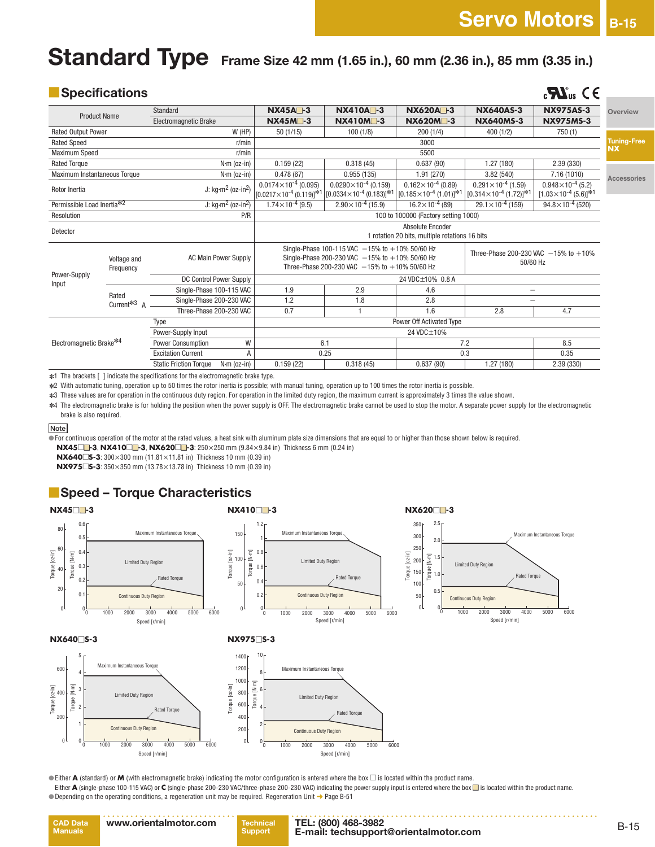$\mathbf{M}_{\text{us}}$  (  $\epsilon$ 

# **Standard Type** Frame Size 42 mm (1.65 in.), 60 mm (2.36 in.), 85 mm (3.35 in.)

|  |  | Specifications |  |  |
|--|--|----------------|--|--|
|  |  |                |  |  |

|                              |                          | Standard                                            | <b>NX45A</b> -3                                                       | <b>NX410A</b> -3                                                                                                                                              | <b>NX620A</b> -3                                                    | <b>NX640AS-3</b>                                                      | <b>NX975AS-3</b>                                                 | Overview           |
|------------------------------|--------------------------|-----------------------------------------------------|-----------------------------------------------------------------------|---------------------------------------------------------------------------------------------------------------------------------------------------------------|---------------------------------------------------------------------|-----------------------------------------------------------------------|------------------------------------------------------------------|--------------------|
| <b>Product Name</b>          |                          | <b>Electromagnetic Brake</b>                        | <b>NX45M</b> -3                                                       | <b>NX410M-3</b>                                                                                                                                               | <b>NX620M</b> -3                                                    | <b>NX640MS-3</b>                                                      | <b>NX975MS-3</b>                                                 |                    |
| <b>Rated Output Power</b>    |                          | W(HP)                                               | 50(1/15)                                                              | 100(1/8)                                                                                                                                                      | 200(1/4)                                                            | 400(1/2)                                                              | 750(1)                                                           |                    |
| <b>Rated Speed</b>           |                          | r/min                                               |                                                                       |                                                                                                                                                               | 3000                                                                |                                                                       |                                                                  | <b>Tuning-Free</b> |
| Maximum Speed                |                          | r/min                                               |                                                                       |                                                                                                                                                               | 5500                                                                |                                                                       |                                                                  | <b>NX</b>          |
| <b>Rated Torque</b>          |                          | $N·m$ (oz-in)                                       | 0.159(22)                                                             | 0.318(45)                                                                                                                                                     | 0.637(90)                                                           | 1.27(180)                                                             | 2.39 (330)                                                       |                    |
| Maximum Instantaneous Torque |                          | $N·m$ (oz-in)                                       | 0.478(67)                                                             | 0.955(135)                                                                                                                                                    | 1.91(270)                                                           | 3.82(540)                                                             | 7.16 (1010)                                                      | Accessories        |
| Rotor Inertia                |                          | J: $kg·m2$ (oz-in <sup>2</sup> )                    | $0.0174\times10^{-4}$ (0.095)<br>$[0.0217 \times 10^{-4} (0.119)]$ *1 | $0.0290\times10^{-4}$ (0.159)<br>$[0.0334 \times 10^{-4} (0.183)]$ * <sup>1</sup>                                                                             | $0.162\times10^{-4}$ (0.89)<br>$[0.185 \times 10^{-4} (1.01)]^{*1}$ | $0.291 \times 10^{-4}$ (1.59)<br>$[0.314 \times 10^{-4} (1.72)]^{*1}$ | $0.948\times10^{-4}$ (5.2)<br>$[1.03 \times 10^{-4} (5.6)]^{*1}$ |                    |
| Permissible Load Inertia*2   |                          | J: $\text{kg}\cdot\text{m}^2$ (oz-in <sup>2</sup> ) | $1.74 \times 10^{-4}$ (9.5)                                           | $2.90\times10^{-4}$ (15.9)                                                                                                                                    | $16.2\times10^{-4}$ (89)                                            | $29.1 \times 10^{-4}$ (159)                                           | $94.8 \times 10^{-4}$ (520)                                      |                    |
| Resolution                   |                          | P/R                                                 |                                                                       |                                                                                                                                                               | 100 to 100000 (Factory setting 1000)                                |                                                                       |                                                                  |                    |
| Detector                     |                          |                                                     | Absolute Encoder<br>1 rotation 20 bits, multiple rotations 16 bits    |                                                                                                                                                               |                                                                     |                                                                       |                                                                  |                    |
|                              | Voltage and<br>Frequency | <b>AC Main Power Supply</b>                         |                                                                       | Single-Phase 100-115 VAC $-15%$ to $+10%$ 50/60 Hz<br>Single-Phase 200-230 VAC $-15%$ to $+10%$ 50/60 Hz<br>Three-Phase 200-230 VAC $-15%$ to $+10%$ 50/60 Hz |                                                                     | Three-Phase 200-230 VAC $-15%$ to $+10%$<br>50/60 Hz                  |                                                                  |                    |
| Power-Supply<br>Input        |                          | DC Control Power Supply                             |                                                                       |                                                                                                                                                               | 24 VDC±10% 0.8 A                                                    |                                                                       |                                                                  |                    |
|                              | Rated                    | Single-Phase 100-115 VAC                            | 1.9                                                                   | 2.9                                                                                                                                                           | 4.6                                                                 | $\overline{\phantom{0}}$                                              |                                                                  |                    |
|                              | Current <sup>*3</sup> A  | Single-Phase 200-230 VAC                            | 1.2                                                                   | 1.8                                                                                                                                                           | 2.8                                                                 |                                                                       |                                                                  |                    |
|                              |                          | Three-Phase 200-230 VAC                             | 0.7                                                                   |                                                                                                                                                               | 1.6                                                                 | 2.8                                                                   | 4.7                                                              |                    |
| Type                         |                          |                                                     |                                                                       | Power Off Activated Type                                                                                                                                      |                                                                     |                                                                       |                                                                  |                    |
|                              |                          | Power-Supply Input                                  |                                                                       |                                                                                                                                                               | 24 VDC±10%                                                          |                                                                       |                                                                  |                    |
| Electromagnetic Brake*4      |                          | W<br>Power Consumption                              |                                                                       | 6.1                                                                                                                                                           |                                                                     | 7.2                                                                   | 8.5                                                              |                    |
|                              |                          | <b>Excitation Current</b><br>Α                      |                                                                       | 0.25                                                                                                                                                          |                                                                     | 0.3                                                                   | 0.35                                                             |                    |
|                              |                          | <b>Static Friction Torque</b><br>$N·m$ (oz-in)      | 0.159(22)                                                             | 0.318(45)                                                                                                                                                     | 0.637(90)                                                           | 1.27(180)                                                             | 2.39 (330)                                                       |                    |
|                              |                          |                                                     |                                                                       |                                                                                                                                                               |                                                                     |                                                                       |                                                                  |                    |

✽1 The brackets [ ] indicate the specifications for the electromagnetic brake type.

✽2 With automatic tuning, operation up to 50 times the rotor inertia is possible; with manual tuning, operation up to 100 times the rotor inertia is possible.

✽3 These values are for operation in the continuous duty region. For operation in the limited duty region, the maximum current is approximately 3 times the value shown.

✽4 The electromagnetic brake is for holding the position when the power supply is OFF. The electromagnetic brake cannot be used to stop the motor. A separate power supply for the electromagnetic brake is also required.

**Note**

 $\overline{\phantom{a}}$  For continuous operation of the motor at the rated values, a heat sink with aluminum plate size dimensions that are equal to or higher than those shown below is required.

**NX45**□■**-3**, **NX410**□■**-3**, **NX620**□■**-3**: 250×250 mm (9.84×9.84 in) Thickness 6 mm (0.24 in)

**NX640**□**S-3**: 300×300 mm (11.81×11.81 in) Thickness 10 mm (0.39 in)

**NX975**□**S-3**: 350×350 mm (13.78×13.78 in) Thickness 10 mm (0.39 in)

### ■**Speed – Torque Characteristics**



●Either **A** (standard) or **M** (with electromagnetic brake) indicating the motor configuration is entered where the box □ is located within the product name.

Either ▲ (single-phase 100-115 VAC) or € (single-phase 200-230 VAC/three-phase 200-230 VAC) indicating the power supply input is entered where the box ■ is located within the product name. ● Depending on the operating conditions, a regeneration unit may be required. Regeneration Unit → Page B-51

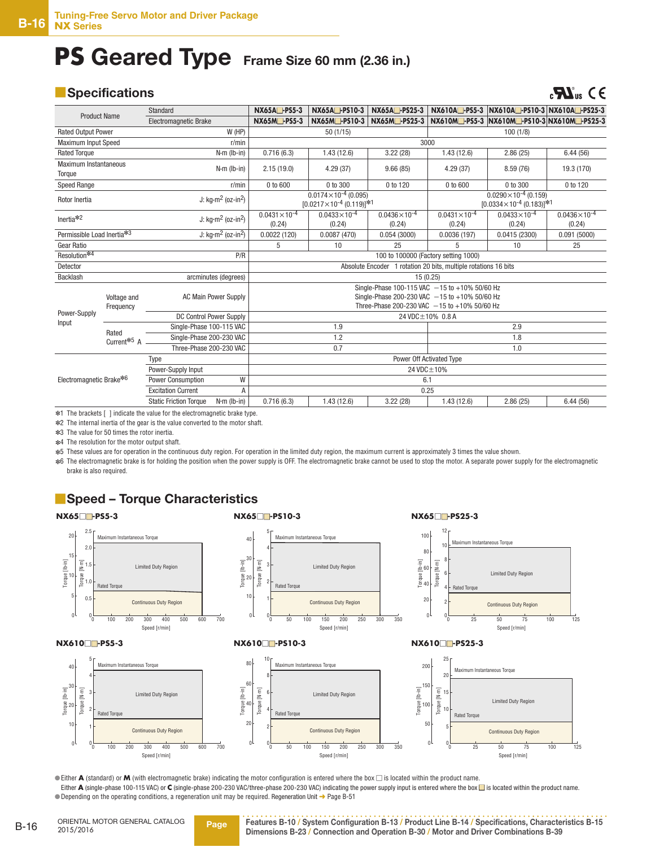## **PS Geared Type Frame Size 60 mm (2.36 in.)**

### ■**Specifications**

## $\mathbf{C}$ **C**<sub>us</sub>  $\mathbf{C} \in$

|                                                                                                                                                                                                                                                                                      | Standard                                                                                                                                                                                                           | NX65A <sup>-PS5-3</sup>                                         | NX65A <sup>-</sup> PS10-3                                                                                                                      | NX65A <sup>-</sup> PS25-3 |                         | NX610A -PS5-3 NX610A -PS10-3 NX610A -PS25-3                             |                         |
|--------------------------------------------------------------------------------------------------------------------------------------------------------------------------------------------------------------------------------------------------------------------------------------|--------------------------------------------------------------------------------------------------------------------------------------------------------------------------------------------------------------------|-----------------------------------------------------------------|------------------------------------------------------------------------------------------------------------------------------------------------|---------------------------|-------------------------|-------------------------------------------------------------------------|-------------------------|
| <b>Product Name</b>                                                                                                                                                                                                                                                                  | Electromagnetic Brake                                                                                                                                                                                              | NX65M-PS5-3                                                     | NX65M-PS10-3                                                                                                                                   | NX65M-PS25-3              |                         | NX610M - PS5-3 NX610M - PS10-3 NX610M - PS25-3                          |                         |
| <b>Rated Output Power</b>                                                                                                                                                                                                                                                            | W (HP)                                                                                                                                                                                                             |                                                                 | 50(1/15)                                                                                                                                       |                           |                         | 100(1/8)                                                                |                         |
| <b>Maximum Input Speed</b>                                                                                                                                                                                                                                                           | r/min                                                                                                                                                                                                              |                                                                 |                                                                                                                                                | 3000                      |                         |                                                                         |                         |
| <b>Rated Torque</b>                                                                                                                                                                                                                                                                  | $N·m$ (lb-in)                                                                                                                                                                                                      | 0.716(6.3)                                                      | 1.43(12.6)                                                                                                                                     | 3.22(28)                  | 1.43(12.6)              | 2.86(25)                                                                | 6.44(56)                |
| <b>Maximum Instantaneous</b><br>$N·m$ (lb-in)<br>Torque                                                                                                                                                                                                                              |                                                                                                                                                                                                                    | 2.15(19.0)                                                      | 4.29(37)                                                                                                                                       | 9.66(85)                  | 4.29(37)                | 8.59(76)                                                                | 19.3 (170)              |
| Speed Range                                                                                                                                                                                                                                                                          | r/min                                                                                                                                                                                                              | $0$ to $600$                                                    | 0 to 300                                                                                                                                       | 0 to 120                  | 0 to 600                | 0 to 300                                                                | 0 to 120                |
| Rotor Inertia                                                                                                                                                                                                                                                                        | J: $kg·m2$ (oz-in <sup>2</sup> )                                                                                                                                                                                   |                                                                 | $0.0174\times10^{-4}$ (0.095)<br>$[0.0217\times10^{-4} (0.119)]^{*1}$                                                                          |                           |                         | $0.0290\times10^{-4}$ (0.159)<br>$[0.0334 \times 10^{-4} (0.183)]^{*1}$ |                         |
|                                                                                                                                                                                                                                                                                      |                                                                                                                                                                                                                    | $0.0431 \times 10^{-4}$                                         | $0.0433 \times 10^{-4}$                                                                                                                        | $0.0436\times10^{-4}$     | $0.0431 \times 10^{-4}$ | $0.0433 \times 10^{-4}$                                                 | $0.0436 \times 10^{-4}$ |
|                                                                                                                                                                                                                                                                                      |                                                                                                                                                                                                                    | (0.24)                                                          | (0.24)                                                                                                                                         | (0.24)                    | (0.24)                  | (0.24)                                                                  | (0.24)                  |
|                                                                                                                                                                                                                                                                                      |                                                                                                                                                                                                                    | 0.0022(120)                                                     | 0.0087(470)                                                                                                                                    | 0.054(3000)               | 0.0036(197)             | 0.0415(2300)                                                            | 0.091(5000)             |
|                                                                                                                                                                                                                                                                                      |                                                                                                                                                                                                                    | 5                                                               | 10                                                                                                                                             | 25                        | 5                       | 10                                                                      | 25                      |
| P/R<br>100 to 100000 (Factory setting 1000)                                                                                                                                                                                                                                          |                                                                                                                                                                                                                    |                                                                 |                                                                                                                                                |                           |                         |                                                                         |                         |
| Detector                                                                                                                                                                                                                                                                             |                                                                                                                                                                                                                    | Absolute Encoder 1 rotation 20 bits, multiple rotations 16 bits |                                                                                                                                                |                           |                         |                                                                         |                         |
| Backlash                                                                                                                                                                                                                                                                             | arcminutes (degrees)                                                                                                                                                                                               | 15 (0.25)                                                       |                                                                                                                                                |                           |                         |                                                                         |                         |
| Voltage and<br>Frequency                                                                                                                                                                                                                                                             | <b>AC Main Power Supply</b>                                                                                                                                                                                        |                                                                 | Single-Phase 100-115 VAC -15 to +10% 50/60 Hz<br>Single-Phase 200-230 VAC -15 to +10% 50/60 Hz<br>Three-Phase 200-230 VAC -15 to +10% 50/60 Hz |                           |                         |                                                                         |                         |
|                                                                                                                                                                                                                                                                                      | DC Control Power Supply                                                                                                                                                                                            | 24 VDC ± 10% 0.8 A                                              |                                                                                                                                                |                           |                         |                                                                         |                         |
|                                                                                                                                                                                                                                                                                      | Single-Phase 100-115 VAC                                                                                                                                                                                           |                                                                 | 1.9                                                                                                                                            |                           | 2.9                     |                                                                         |                         |
|                                                                                                                                                                                                                                                                                      | Single-Phase 200-230 VAC                                                                                                                                                                                           |                                                                 | 1.2                                                                                                                                            |                           |                         | 1.8                                                                     |                         |
|                                                                                                                                                                                                                                                                                      | Three-Phase 200-230 VAC                                                                                                                                                                                            |                                                                 | 0.7                                                                                                                                            |                           |                         | 1.0                                                                     |                         |
|                                                                                                                                                                                                                                                                                      | Type                                                                                                                                                                                                               |                                                                 |                                                                                                                                                | Power Off Activated Type  |                         |                                                                         |                         |
|                                                                                                                                                                                                                                                                                      | Power-Supply Input                                                                                                                                                                                                 |                                                                 |                                                                                                                                                | 24 VDC ± 10%              |                         |                                                                         |                         |
| Electromagnetic Brake <sup>*6</sup>                                                                                                                                                                                                                                                  | W<br>Power Consumption                                                                                                                                                                                             |                                                                 |                                                                                                                                                | 6.1                       |                         |                                                                         |                         |
|                                                                                                                                                                                                                                                                                      | <b>Excitation Current</b><br>A                                                                                                                                                                                     |                                                                 |                                                                                                                                                | 0.25                      |                         |                                                                         |                         |
|                                                                                                                                                                                                                                                                                      | <b>Static Friction Torque</b><br>$N·m$ ( $lb - in$ )                                                                                                                                                               | 0.716(6.3)                                                      | 1.43(12.6)                                                                                                                                     | 3.22(28)                  | 1.43(12.6)              | 2.86(25)                                                                | 6.44(56)                |
| Inertia $*$ <sup>2</sup><br>Permissible Load Inertia*3<br><b>Gear Ratio</b><br>Resolution*4<br>Power-Supply<br>Input<br>Rated<br>Current <sup><math>*5</math></sup> A<br><b>A 77 1 1 1 2 3 4 5 6 7 8 9 10 11 12 4 5 6 7 8 9 10 11 12 4 5 6 7 8 9 11 12 13 14 15 16 17 18 18 18 1</b> | J: $kq·m^2$ (oz-in <sup>2</sup> )<br>J: $\text{kg}\cdot\text{m}^2$ (oz-in <sup>2</sup> )<br><b>Contact Contact Contact Contact Contact Contact Contact Contact Contact Contact Contact Contact Contact Contact</b> |                                                                 |                                                                                                                                                |                           |                         |                                                                         |                         |

✽1 The brackets [ ] indicate the value for the electromagnetic brake type.

✽2 The internal inertia of the gear is the value converted to the motor shaft.

✽3 The value for 50 times the rotor inertia.

✽4 The resolution for the motor output shaft.

✽5 These values are for operation in the continuous duty region. For operation in the limited duty region, the maximum current is approximately 3 times the value shown.

✽6 The electromagnetic brake is for holding the position when the power supply is OFF. The electromagnetic brake cannot be used to stop the motor. A separate power supply for the electromagnetic brake is also required.

### ■**Speed – Torque Characteristics**



 ●Either **A** (standard) or **M** (with electromagnetic brake) indicating the motor configuration is entered where the box □ is located within the product name. Either **A** (single-phase 100-115 VAC) or **C** (single-phase 200-230 VAC/three-phase 200-230 VAC) indicating the power supply input is entered where the box ■ is located within the product name. ● Depending on the operating conditions, a regeneration unit may be required. Regeneration Unit → Page B-51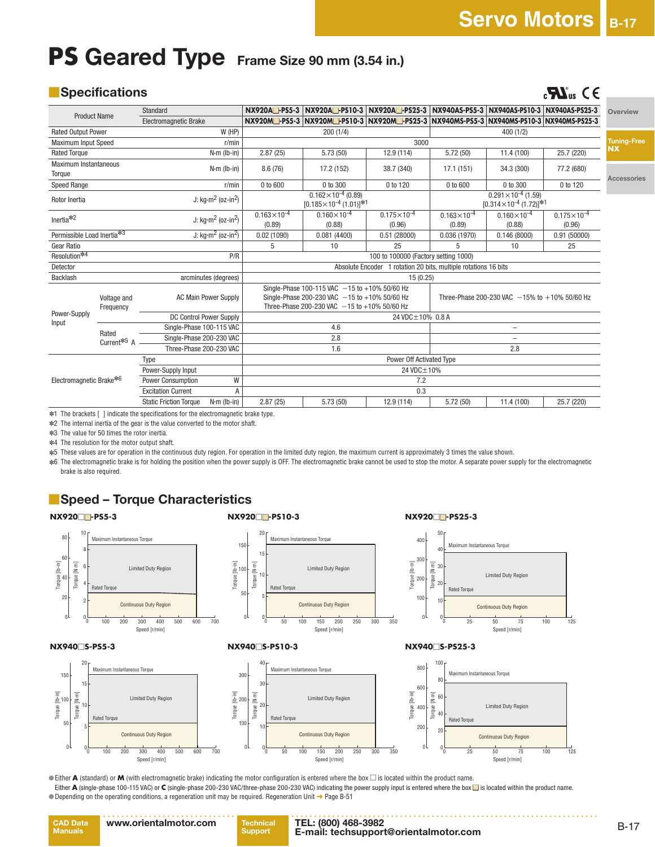$\mathbf{R}$   $\mathbf{M}_{\text{us}}$  C E

**Tuning-Free**

**Accessories**

**Overview**

# **PS Geared Type Frame Size 90 mm (3.54 in.)**

### ■**Specifications**

|                            |                                      | Standard                                            |               | NX920A <sup>-PS5-3</sup>                                        |                                                                                                                                                | NX920A□-PS10-3   NX920A□-PS25-3   NX940AS-PS5-3   NX940AS-PS10-3   NX940AS-PS25-3 |                                  |                                                                       |                                  | Ove       |
|----------------------------|--------------------------------------|-----------------------------------------------------|---------------|-----------------------------------------------------------------|------------------------------------------------------------------------------------------------------------------------------------------------|-----------------------------------------------------------------------------------|----------------------------------|-----------------------------------------------------------------------|----------------------------------|-----------|
| <b>Product Name</b>        | <b>Electromagnetic Brake</b>         |                                                     |               |                                                                 | NX920M - PS5-3   NX920M - PS10-3   NX920M - PS25-3   NX940MS-PS5-3   NX940MS-PS10-3   NX940MS-PS25-3                                           |                                                                                   |                                  |                                                                       |                                  |           |
| <b>Rated Output Power</b>  |                                      |                                                     | $W$ (HP)      |                                                                 | 200(1/4)                                                                                                                                       |                                                                                   |                                  | 400(1/2)                                                              |                                  |           |
| <b>Maximum Input Speed</b> |                                      |                                                     | r/min         |                                                                 |                                                                                                                                                | 3000                                                                              |                                  |                                                                       |                                  | Tun       |
| <b>Rated Torque</b>        |                                      |                                                     | $N·m$ (lb-in) | 2.87(25)                                                        | 5.73(50)                                                                                                                                       | 12.9 (114)                                                                        | 5.72(50)                         | 11.4 (100)                                                            | 25.7 (220)                       | <b>NX</b> |
| Torque                     | <b>Maximum Instantaneous</b>         |                                                     | $N·m$ (lb-in) | 8.6(76)                                                         | 17.2 (152)                                                                                                                                     | 38.7 (340)                                                                        | 17.1(151)                        | 34.3 (300)                                                            | 77.2 (680)                       | Acc       |
| Speed Range                |                                      |                                                     | r/min         | $0$ to $600$                                                    | $0$ to $300$                                                                                                                                   | 0 to 120                                                                          | 0 to 600                         | 0 to 300                                                              | 0 to 120                         |           |
| Rotor Inertia              |                                      | J: $kg·m2$ (oz-in <sup>2</sup> )                    |               |                                                                 | $0.162\times10^{-4}$ (0.89)<br>$[0.185 \times 10^{-4} (1.01)]^{*1}$                                                                            |                                                                                   |                                  | $0.291 \times 10^{-4}$ (1.59)<br>$[0.314 \times 10^{-4} (1.72)]^{*1}$ |                                  |           |
| Inertia $*2$               |                                      | J: $kg·m2$ (oz-in <sup>2</sup> )                    |               | $0.163\times10^{-4}$<br>(0.89)                                  | $0.160\times10^{-4}$<br>(0.88)                                                                                                                 | $0.175 \times 10^{-4}$<br>(0.96)                                                  | $0.163 \times 10^{-4}$<br>(0.89) | $0.160\times10^{-4}$<br>(0.88)                                        | $0.175 \times 10^{-4}$<br>(0.96) |           |
| Permissible Load Inertia*3 |                                      | J: $\text{kg}\cdot\text{m}^2$ (oz-in <sup>2</sup> ) |               | 0.02(1090)                                                      | 0.081(4400)                                                                                                                                    | 0.51(28000)                                                                       | 0.036(1970)                      | 0.146(8000)                                                           | 0.91(50000)                      |           |
| <b>Gear Ratio</b>          |                                      |                                                     |               | 5                                                               | 10                                                                                                                                             | 25                                                                                |                                  | 10                                                                    | 25                               |           |
| Resolution*4               |                                      |                                                     | P/R           | 100 to 100000 (Factory setting 1000)                            |                                                                                                                                                |                                                                                   |                                  |                                                                       |                                  |           |
| Detector                   |                                      |                                                     |               | Absolute Encoder 1 rotation 20 bits, multiple rotations 16 bits |                                                                                                                                                |                                                                                   |                                  |                                                                       |                                  |           |
| Backlash                   |                                      | arcminutes (degrees)                                |               |                                                                 |                                                                                                                                                | 15(0.25)                                                                          |                                  |                                                                       |                                  |           |
|                            | Voltage and<br>Frequency             | <b>AC Main Power Supply</b>                         |               |                                                                 | Single-Phase 100-115 VAC -15 to +10% 50/60 Hz<br>Single-Phase 200-230 VAC -15 to +10% 50/60 Hz<br>Three-Phase 200-230 VAC -15 to +10% 50/60 Hz |                                                                                   |                                  | Three-Phase 200-230 VAC $-15\%$ to $+10\%$ 50/60 Hz                   |                                  |           |
| Power-Supply               |                                      | DC Control Power Supply                             |               |                                                                 |                                                                                                                                                | 24 VDC±10% 0.8 A                                                                  |                                  |                                                                       |                                  |           |
| Input                      | Rated                                | Single-Phase 100-115 VAC                            |               |                                                                 | 4.6                                                                                                                                            |                                                                                   |                                  |                                                                       |                                  |           |
|                            | Current <sup><math>*5</math></sup> A | Single-Phase 200-230 VAC                            |               |                                                                 | 2.8                                                                                                                                            |                                                                                   |                                  |                                                                       |                                  |           |
|                            |                                      | Three-Phase 200-230 VAC<br>1.6<br>2.8               |               |                                                                 |                                                                                                                                                |                                                                                   |                                  |                                                                       |                                  |           |
|                            |                                      | Type                                                |               |                                                                 |                                                                                                                                                | Power Off Activated Type                                                          |                                  |                                                                       |                                  |           |
|                            |                                      | Power-Supply Input                                  |               |                                                                 |                                                                                                                                                | 24 VDC+10%                                                                        |                                  |                                                                       |                                  |           |
| Electromagnetic Brake*6    |                                      | Power Consumption                                   | W             |                                                                 |                                                                                                                                                | 7.2                                                                               |                                  |                                                                       |                                  |           |
|                            |                                      | <b>Excitation Current</b>                           | A             |                                                                 |                                                                                                                                                | 0.3                                                                               |                                  |                                                                       |                                  |           |
|                            |                                      | <b>Static Friction Torque</b>                       | $N·m$ (lb-in) | 2.87(25)                                                        | 5.73 (50)                                                                                                                                      | 12.9 (114)                                                                        | 5.72(50)                         | 11.4 (100)                                                            | 25.7 (220)                       |           |

✽1 The brackets [ ] indicate the specifications for the electromagnetic brake type.

✽2 The internal inertia of the gear is the value converted to the motor shaft.

✽3 The value for 50 times the rotor inertia.

✽4 The resolution for the motor output shaft.

✽5 These values are for operation in the continuous duty region. For operation in the limited duty region, the maximum current is approximately 3 times the value shown.

✽6 The electromagnetic brake is for holding the position when the power supply is OFF. The electromagnetic brake cannot be used to stop the motor. A separate power supply for the electromagnetic brake is also required.

### ■**Speed – Torque Characteristics**



●Either **A** (standard) or **M** (with electromagnetic brake) indicating the motor configuration is entered where the box □ is located within the product name. Either ▲ (single-phase 100-115 VAC) or € (single-phase 200-230 VAC/three-phase 200-230 VAC) indicating the power supply input is entered where the box ■ is located within the product name. ● Depending on the operating conditions, a regeneration unit may be required. Regeneration Unit → Page B-51

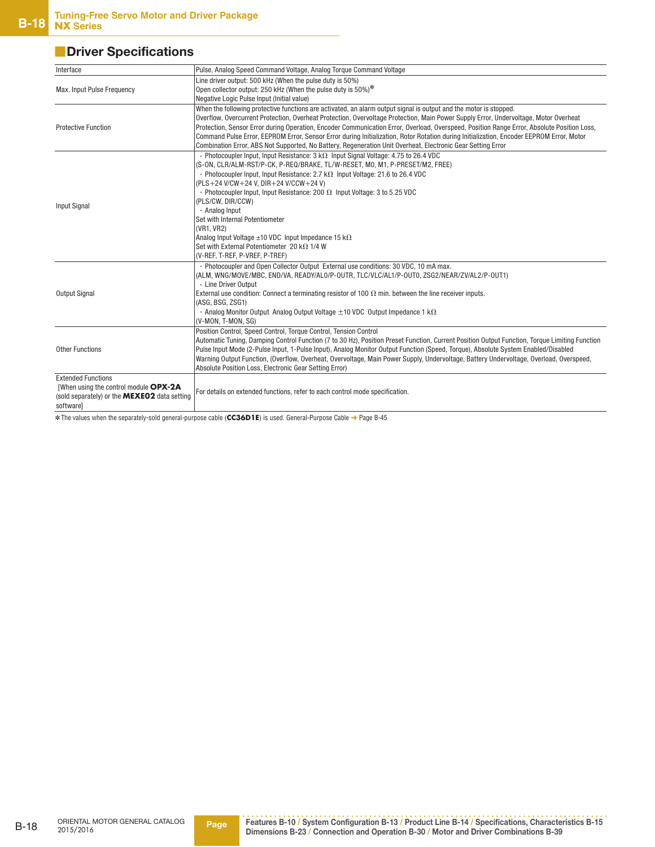## ■**Driver Specifications**

| Interface                                                                                                                              | Pulse, Analog Speed Command Voltage, Analog Torque Command Voltage                                                                                                                                                                                                                                                                                                                                                                                                                                                                                                                                                                                                 |
|----------------------------------------------------------------------------------------------------------------------------------------|--------------------------------------------------------------------------------------------------------------------------------------------------------------------------------------------------------------------------------------------------------------------------------------------------------------------------------------------------------------------------------------------------------------------------------------------------------------------------------------------------------------------------------------------------------------------------------------------------------------------------------------------------------------------|
| Max. Input Pulse Frequency                                                                                                             | Line driver output: 500 kHz (When the pulse duty is 50%)<br>Open collector output: 250 kHz (When the pulse duty is 50%)*<br>Negative Logic Pulse Input (Initial value)                                                                                                                                                                                                                                                                                                                                                                                                                                                                                             |
| <b>Protective Function</b>                                                                                                             | When the following protective functions are activated, an alarm output signal is output and the motor is stopped.<br>Overflow, Overcurrent Protection, Overheat Protection, Overvoltage Protection, Main Power Supply Error, Undervoltage, Motor Overheat<br>Protection, Sensor Error during Operation, Encoder Communication Error, Overload, Overspeed, Position Range Error, Absolute Position Loss,<br>Command Pulse Error, EEPROM Error, Sensor Error during Initialization, Rotor Rotation during Initialization, Encoder EEPROM Error, Motor<br>Combination Error, ABS Not Supported, No Battery, Regeneration Unit Overheat, Electronic Gear Setting Error |
| <b>Input Signal</b>                                                                                                                    | • Photocoupler Input, Input Resistance: $3 k\Omega$ Input Signal Voltage: 4.75 to 26.4 VDC<br>(S-ON, CLR/ALM-RST/P-CK, P-REQ/BRAKE, TL/W-RESET, MO, M1, P-PRESET/M2, FREE)<br>• Photocoupler Input, Input Resistance: 2.7 k $\Omega$ Input Voltage: 21.6 to 26.4 VDC<br>(PLS+24 V/CW+24 V, DIR+24 V/CCW+24 V)<br>• Photocoupler Input, Input Resistance: 200 $\Omega$ Input Voltage: 3 to 5.25 VDC<br>(PLS/CW, DIR/CCW)<br>· Analog Input<br>Set with Internal Potentiometer<br>(VR1. VR2)<br>Analog Input Voltage $\pm$ 10 VDC Input Impedance 15 k $\Omega$<br>Set with External Potentiometer 20 k $\Omega$ 1/4 W<br>(V-REF, T-REF, P-VREF, P-TREF)             |
| <b>Output Signal</b>                                                                                                                   | . Photocoupler and Open Collector Output External use conditions: 30 VDC, 10 mA max.<br>(ALM, WNG/MOVE/MBC, END/VA, READY/AL0/P-OUTR, TLC/VLC/AL1/P-OUT0, ZSG2/NEAR/ZV/AL2/P-OUT1)<br>· Line Driver Output<br>External use condition: Connect a terminating resistor of 100 $\Omega$ min. between the line receiver inputs.<br>(ASG, BSG, ZSG1)<br>• Analog Monitor Output Analog Output Voltage $\pm$ 10 VDC Output Impedance 1 k $\Omega$<br>(V-MON, T-MON, SG)                                                                                                                                                                                                  |
| <b>Other Functions</b>                                                                                                                 | Position Control, Speed Control, Torque Control, Tension Control<br>Automatic Tuning, Damping Control Function (7 to 30 Hz), Position Preset Function, Current Position Output Function, Torque Limiting Function<br>Pulse Input Mode (2-Pulse Input, 1-Pulse Input), Analog Monitor Output Function (Speed, Torque), Absolute System Enabled/Disabled<br>Warning Output Function, (Overflow, Overheat, Overvoltage, Main Power Supply, Undervoltage, Battery Undervoltage, Overload, Overspeed,<br>Absolute Position Loss, Electronic Gear Setting Error)                                                                                                         |
| <b>Extended Functions</b><br>[When using the control module OPX-2A<br>(sold separately) or the <b>MEXEO2</b> data setting<br>softwarel | For details on extended functions, refer to each control mode specification.                                                                                                                                                                                                                                                                                                                                                                                                                                                                                                                                                                                       |

✽ The values when the separately-sold general-purpose cable (**CC36D1E**) is used. General-Purpose Cable ➜ Page B-45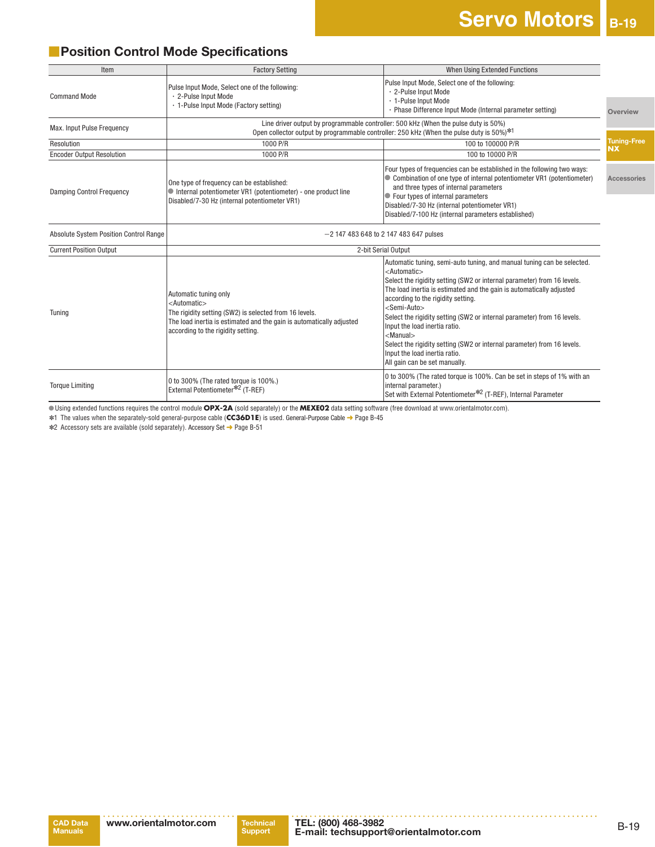## ■**Position Control Mode Specifications**

| Item                                          | <b>Factory Setting</b>                                                                                                                                                                                                      | When Using Extended Functions                                                                                                                                                                                                                                                                                                                                                                                                                                                                                                                                                                                                        |                                 |  |
|-----------------------------------------------|-----------------------------------------------------------------------------------------------------------------------------------------------------------------------------------------------------------------------------|--------------------------------------------------------------------------------------------------------------------------------------------------------------------------------------------------------------------------------------------------------------------------------------------------------------------------------------------------------------------------------------------------------------------------------------------------------------------------------------------------------------------------------------------------------------------------------------------------------------------------------------|---------------------------------|--|
| <b>Command Mode</b>                           | Pulse Input Mode, Select one of the following:<br>· 2-Pulse Input Mode<br>· 1-Pulse Input Mode (Factory setting)                                                                                                            | Pulse Input Mode, Select one of the following:<br>· 2-Pulse Input Mode<br>· 1-Pulse Input Mode                                                                                                                                                                                                                                                                                                                                                                                                                                                                                                                                       |                                 |  |
|                                               |                                                                                                                                                                                                                             | · Phase Difference Input Mode (Internal parameter setting)                                                                                                                                                                                                                                                                                                                                                                                                                                                                                                                                                                           | Overview                        |  |
| Max. Input Pulse Frequency                    |                                                                                                                                                                                                                             | Line driver output by programmable controller: 500 kHz (When the pulse duty is 50%)<br>Open collector output by programmable controller: 250 kHz (When the pulse duty is 50%) <sup>*1</sup>                                                                                                                                                                                                                                                                                                                                                                                                                                          |                                 |  |
| Resolution                                    | 1000 P/R                                                                                                                                                                                                                    | 100 to 100000 P/R                                                                                                                                                                                                                                                                                                                                                                                                                                                                                                                                                                                                                    | <b>Tuning-Free</b><br><b>NX</b> |  |
| <b>Encoder Output Resolution</b>              | 1000 P/R                                                                                                                                                                                                                    | 100 to 10000 P/R                                                                                                                                                                                                                                                                                                                                                                                                                                                                                                                                                                                                                     |                                 |  |
| <b>Damping Control Frequency</b>              | One type of frequency can be established:<br>$\bullet$ Internal potentiometer VR1 (potentiometer) - one product line<br>Disabled/7-30 Hz (internal potentiometer VR1)                                                       | Four types of frequencies can be established in the following two ways:<br>Combination of one type of internal potentiometer VR1 (potentiometer)<br>and three types of internal parameters<br>● Four types of internal parameters<br>Disabled/7-30 Hz (internal potentiometer VR1)<br>Disabled/7-100 Hz (internal parameters established)                                                                                                                                                                                                                                                                                            | Accessories                     |  |
| <b>Absolute System Position Control Range</b> | $-2$ 147 483 648 to 2 147 483 647 pulses                                                                                                                                                                                    |                                                                                                                                                                                                                                                                                                                                                                                                                                                                                                                                                                                                                                      |                                 |  |
| <b>Current Position Output</b>                |                                                                                                                                                                                                                             | 2-bit Serial Output                                                                                                                                                                                                                                                                                                                                                                                                                                                                                                                                                                                                                  |                                 |  |
| Tuning                                        | Automatic tuning only<br><automatic><br/>The rigidity setting (SW2) is selected from 16 levels.<br/>The load inertia is estimated and the gain is automatically adjusted<br/>according to the rigidity setting.</automatic> | Automatic tuning, semi-auto tuning, and manual tuning can be selected.<br><automatic><br/>Select the rigidity setting (SW2 or internal parameter) from 16 levels.<br/>The load inertia is estimated and the gain is automatically adjusted<br/>according to the rigidity setting.<br/><semi-auto><br/>Select the rigidity setting (SW2 or internal parameter) from 16 levels.<br/>Input the load inertia ratio.<br/><math>&lt;</math>Manual<math>&gt;</math><br/>Select the rigidity setting (SW2 or internal parameter) from 16 levels.<br/>Input the load inertia ratio.<br/>All gain can be set manually.</semi-auto></automatic> |                                 |  |
| <b>Torque Limiting</b>                        | 0 to 300% (The rated torque is 100%.)<br>External Potentiometer* <sup>2</sup> (T-REF)                                                                                                                                       | 0 to 300% (The rated torque is 100%. Can be set in steps of 1% with an<br>internal parameter.)<br>Set with External Potentiometer* <sup>2</sup> (T-REF), Internal Parameter                                                                                                                                                                                                                                                                                                                                                                                                                                                          |                                 |  |

●Using extended functions requires the control module **OPX-2A** (sold separately) or the **MEXE02** data setting software (free download at www.orientalmotor.com).

✽1 The values when the separately-sold general-purpose cable (**CC36D1E**) is used. General-Purpose Cable ➜ Page B-45

✽2 Accessory sets are available (sold separately). Accessory Set ➜ Page B-51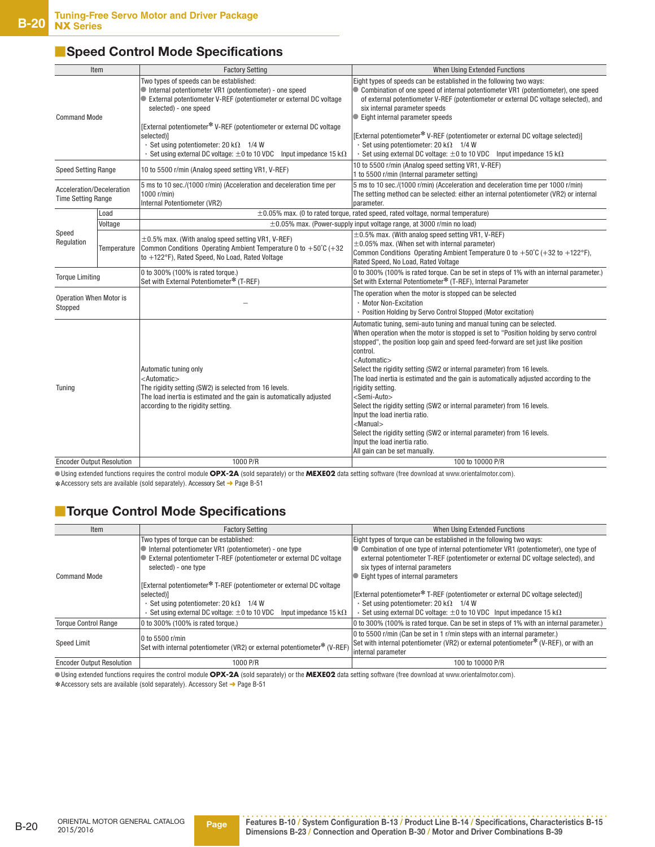### ■**Speed Control Mode Specifications**

| Item                                                   |             | <b>Factory Setting</b>                                                                                                                                                                                                                                                                                                                                                                                                                   | When Using Extended Functions                                                                                                                                                                                                                                                                                                                                                                                                                                                                                                                                                                                                                                                                                                                                                                                                  |
|--------------------------------------------------------|-------------|------------------------------------------------------------------------------------------------------------------------------------------------------------------------------------------------------------------------------------------------------------------------------------------------------------------------------------------------------------------------------------------------------------------------------------------|--------------------------------------------------------------------------------------------------------------------------------------------------------------------------------------------------------------------------------------------------------------------------------------------------------------------------------------------------------------------------------------------------------------------------------------------------------------------------------------------------------------------------------------------------------------------------------------------------------------------------------------------------------------------------------------------------------------------------------------------------------------------------------------------------------------------------------|
| <b>Command Mode</b>                                    |             | Two types of speeds can be established:<br>Internal potentiometer VR1 (potentiometer) - one speed<br>External potentiometer V-REF (potentiometer or external DC voltage<br>selected) - one speed<br>[External potentiometer* V-REF (potentiometer or external DC voltage<br>selected)]<br>$\cdot$ Set using potentiometer: 20 k $\Omega$ 1/4 W<br>$\cdot$ Set using external DC voltage: $\pm 0$ to 10 VDC Input impedance 15 k $\Omega$ | Eight types of speeds can be established in the following two ways:<br>• Combination of one speed of internal potentiometer VR1 (potentiometer), one speed<br>of external potentiometer V-REF (potentiometer or external DC voltage selected), and<br>six internal parameter speeds<br>● Eight internal parameter speeds<br>[External potentiometer* V-REF (potentiometer or external DC voltage selected)]<br>$\cdot$ Set using potentiometer: 20 k $\Omega$ 1/4 W<br>$\cdot$ Set using external DC voltage: $\pm 0$ to 10 VDC Input impedance 15 k $\Omega$                                                                                                                                                                                                                                                                  |
| <b>Speed Setting Range</b>                             |             | 10 to 5500 r/min (Analog speed setting VR1, V-REF)                                                                                                                                                                                                                                                                                                                                                                                       | 10 to 5500 r/min (Analog speed setting VR1, V-REF)<br>1 to 5500 r/min (Internal parameter setting)                                                                                                                                                                                                                                                                                                                                                                                                                                                                                                                                                                                                                                                                                                                             |
| Acceleration/Deceleration<br><b>Time Setting Range</b> |             | 5 ms to 10 sec./(1000 r/min) (Acceleration and deceleration time per<br>1000 r/min)<br>Internal Potentiometer (VR2)                                                                                                                                                                                                                                                                                                                      | 5 ms to 10 sec./(1000 r/min) (Acceleration and deceleration time per 1000 r/min)<br>The setting method can be selected: either an internal potentiometer (VR2) or internal<br>parameter.                                                                                                                                                                                                                                                                                                                                                                                                                                                                                                                                                                                                                                       |
|                                                        | Load        |                                                                                                                                                                                                                                                                                                                                                                                                                                          | $\pm 0.05$ % max. (0 to rated torque, rated speed, rated voltage, normal temperature)                                                                                                                                                                                                                                                                                                                                                                                                                                                                                                                                                                                                                                                                                                                                          |
|                                                        | Voltage     |                                                                                                                                                                                                                                                                                                                                                                                                                                          | $\pm$ 0.05% max. (Power-supply input voltage range, at 3000 r/min no load)                                                                                                                                                                                                                                                                                                                                                                                                                                                                                                                                                                                                                                                                                                                                                     |
| Speed<br>Regulation                                    | Temperature | $\pm$ 0.5% max. (With analog speed setting VR1, V-REF)<br>Common Conditions Operating Ambient Temperature 0 to $+50^{\circ}$ C (+32<br>to +122°F), Rated Speed, No Load, Rated Voltage                                                                                                                                                                                                                                                   | $\pm 0.5$ % max. (With analog speed setting VR1, V-REF)<br>$\pm 0.05$ % max. (When set with internal parameter)<br>Common Conditions Operating Ambient Temperature 0 to $+50^{\circ}$ C (+32 to +122°F),<br>Rated Speed, No Load, Rated Voltage                                                                                                                                                                                                                                                                                                                                                                                                                                                                                                                                                                                |
| <b>Torque Limiting</b>                                 |             | 0 to 300% (100% is rated torque.)<br>Set with External Potentiometer* (T-REF)                                                                                                                                                                                                                                                                                                                                                            | 0 to 300% (100% is rated torque. Can be set in steps of 1% with an internal parameter.)<br>Set with External Potentiometer* (T-REF), Internal Parameter                                                                                                                                                                                                                                                                                                                                                                                                                                                                                                                                                                                                                                                                        |
| <b>Operation When Motor is</b><br>Stopped              |             |                                                                                                                                                                                                                                                                                                                                                                                                                                          | The operation when the motor is stopped can be selected<br>· Motor Non-Excitation<br>· Position Holding by Servo Control Stopped (Motor excitation)                                                                                                                                                                                                                                                                                                                                                                                                                                                                                                                                                                                                                                                                            |
| Tuning                                                 |             | Automatic tuning only<br><automatic><br/>The rigidity setting (SW2) is selected from 16 levels.<br/>The load inertia is estimated and the gain is automatically adjusted<br/>according to the rigidity setting.</automatic>                                                                                                                                                                                                              | Automatic tuning, semi-auto tuning and manual tuning can be selected.<br>When operation when the motor is stopped is set to "Position holding by servo control<br>stopped", the position loop gain and speed feed-forward are set just like position<br>control.<br><automatic><br/>Select the rigidity setting (SW2 or internal parameter) from 16 levels.<br/>The load inertia is estimated and the gain is automatically adjusted according to the<br/>rigidity setting.<br/><semi-auto><br/>Select the rigidity setting (SW2 or internal parameter) from 16 levels.<br/>Input the load inertia ratio.<br/><math>&lt;</math>Manual<math>&gt;</math><br/>Select the rigidity setting (SW2 or internal parameter) from 16 levels.<br/>Input the load inertia ratio.<br/>All gain can be set manually.</semi-auto></automatic> |
| <b>Encoder Output Resolution</b>                       |             | 1000 P/R                                                                                                                                                                                                                                                                                                                                                                                                                                 | 100 to 10000 P/R                                                                                                                                                                                                                                                                                                                                                                                                                                                                                                                                                                                                                                                                                                                                                                                                               |

 ●Using extended functions requires the control module **OPX-2A** (sold separately) or the **MEXE02** data setting software (free download at www.orientalmotor.com). ✽ Accessory sets are available (sold separately). Accessory Set ➜ Page B-51

## ■**Torque Control Mode Specifications**

| Item                             | <b>Factory Setting</b>                                                                                                                                                                                                                                                                                                                       | When Using Extended Functions                                                                                                                                                                                                                                                                                                                                                                                                                                       |
|----------------------------------|----------------------------------------------------------------------------------------------------------------------------------------------------------------------------------------------------------------------------------------------------------------------------------------------------------------------------------------------|---------------------------------------------------------------------------------------------------------------------------------------------------------------------------------------------------------------------------------------------------------------------------------------------------------------------------------------------------------------------------------------------------------------------------------------------------------------------|
| <b>Command Mode</b>              | Two types of torque can be established:<br>Internal potentiometer VR1 (potentiometer) - one type<br>External potentiometer T-REF (potentiometer or external DC voltage<br>selected) - one type<br>[External potentiometer* T-REF (potentiometer or external DC voltage<br>selected)]<br>$\cdot$ Set using potentiometer: 20 k $\Omega$ 1/4 W | Eight types of torque can be established in the following two ways:<br>Combination of one type of internal potentiometer VR1 (potentiometer), one type of<br>external potentiometer T-REF (potentiometer or external DC voltage selected), and<br>six types of internal parameters<br>Eight types of internal parameters<br>[External potentiometer* T-REF (potentiometer or external DC voltage selected)]<br>$\cdot$ Set using potentiometer: 20 k $\Omega$ 1/4 W |
|                                  | Set using external DC voltage: $\pm 0$ to 10 VDC<br>Input impedance 15 k $\Omega$                                                                                                                                                                                                                                                            | $\cdot$ Set using external DC voltage: $\pm$ 0 to 10 VDC Input impedance 15 k $\Omega$                                                                                                                                                                                                                                                                                                                                                                              |
| <b>Torque Control Range</b>      | 0 to 300% (100% is rated torque.)                                                                                                                                                                                                                                                                                                            | 0 to 300% (100% is rated torque. Can be set in steps of 1% with an internal parameter.)                                                                                                                                                                                                                                                                                                                                                                             |
| <b>Speed Limit</b>               | 0 to 5500 r/min<br>Set with internal potentiometer (VR2) or external potentiometer* (V-REF)                                                                                                                                                                                                                                                  | 0 to 5500 r/min (Can be set in 1 r/min steps with an internal parameter.)<br>Set with internal potentiometer (VR2) or external potentiometer* (V-REF), or with an<br>internal parameter                                                                                                                                                                                                                                                                             |
| <b>Encoder Output Resolution</b> | 1000 P/R                                                                                                                                                                                                                                                                                                                                     | 100 to 10000 P/R                                                                                                                                                                                                                                                                                                                                                                                                                                                    |

 ●Using extended functions requires the control module **OPX-2A** (sold separately) or the **MEXE02** data setting software (free download at www.orientalmotor.com). ✽ Accessory sets are available (sold separately). Accessory Set ➜ Page B-51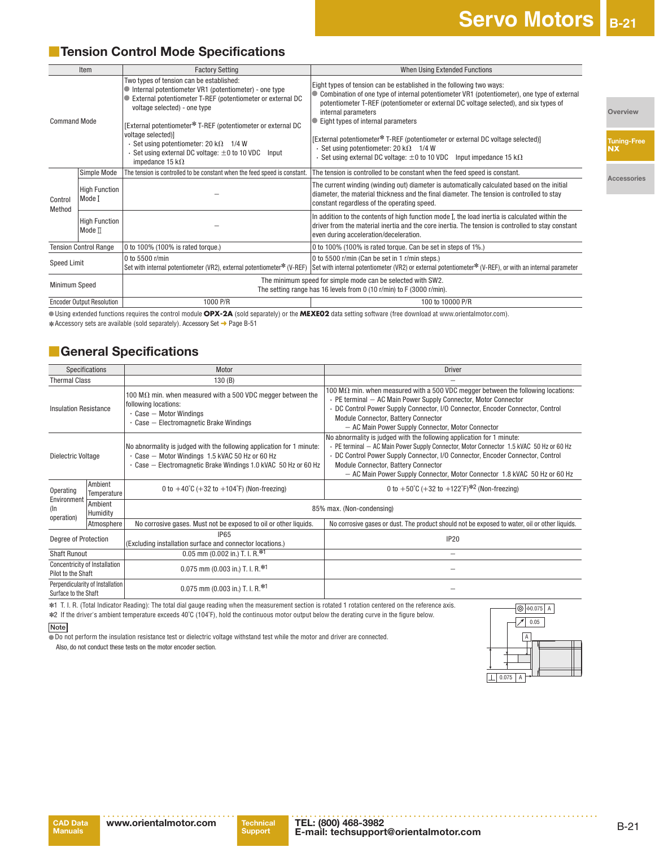## **■ Tension Control Mode Specifications**

|                     | Item                                       | <b>Factory Setting</b>                                                                                                                                                                                                                     | When Using Extended Functions                                                                                                                                                                                                                                                       |
|---------------------|--------------------------------------------|--------------------------------------------------------------------------------------------------------------------------------------------------------------------------------------------------------------------------------------------|-------------------------------------------------------------------------------------------------------------------------------------------------------------------------------------------------------------------------------------------------------------------------------------|
| <b>Command Mode</b> |                                            | Two types of tension can be established:<br>Internal potentiometer VR1 (potentiometer) - one type<br>External potentiometer T-REF (potentiometer or external DC<br>voltage selected) - one type                                            | Eight types of tension can be established in the following two ways:<br>Combination of one type of internal potentiometer VR1 (potentiometer), one type of external<br>potentiometer T-REF (potentiometer or external DC voltage selected), and six types of<br>internal parameters |
|                     |                                            | [External potentiometer* T-REF (potentiometer or external DC<br>voltage selected)]<br>$\cdot$ Set using potentiometer: 20 k $\Omega$ 1/4 W<br>$\cdot$ Set using external DC voltage: $\pm$ 0 to 10 VDC<br>Input<br>impedance 15 k $\Omega$ | Eight types of internal parameters<br>[External potentiometer* T-REF (potentiometer or external DC voltage selected)]<br>$\cdot$ Set using potentiometer: 20 k $\Omega$ 1/4 W<br>$\cdot$ Set using external DC voltage: $\pm 0$ to 10 VDC Input impedance 15 k $\Omega$             |
|                     | Simple Mode                                | The tension is controlled to be constant when the feed speed is constant.                                                                                                                                                                  | The tension is controlled to be constant when the feed speed is constant.                                                                                                                                                                                                           |
| Control<br>Method   | <b>High Function</b><br>Mode I             |                                                                                                                                                                                                                                            | The current winding (winding out) diameter is automatically calculated based on the initial<br>diameter, the material thickness and the final diameter. The tension is controlled to stay<br>constant regardless of the operating speed.                                            |
|                     | <b>High Function</b><br>Mode <sub>II</sub> |                                                                                                                                                                                                                                            | In addition to the contents of high function mode I, the load inertia is calculated within the<br>driver from the material inertia and the core inertia. The tension is controlled to stay constant<br>even during acceleration/deceleration.                                       |
|                     | <b>Tension Control Range</b>               | 0 to 100% (100% is rated torque.)                                                                                                                                                                                                          | 0 to 100% (100% is rated torque. Can be set in steps of 1%.)                                                                                                                                                                                                                        |
| <b>Speed Limit</b>  |                                            | 0 to 5500 r/min<br>Set with internal potentiometer (VR2), external potentiometer* (V-REF)                                                                                                                                                  | 0 to 5500 r/min (Can be set in 1 r/min steps.)<br>Set with internal potentiometer (VR2) or external potentiometer <sup>*</sup> (V-REF), or with an internal parameter                                                                                                               |
| Minimum Speed       |                                            | The minimum speed for simple mode can be selected with SW2.<br>The setting range has 16 levels from 0 (10 r/min) to F (3000 r/min).                                                                                                        |                                                                                                                                                                                                                                                                                     |
|                     | <b>Encoder Output Resolution</b>           | 1000 P/R                                                                                                                                                                                                                                   | 100 to 10000 P/R                                                                                                                                                                                                                                                                    |

●Using extended functions requires the control module **OPX-2A** (sold separately) or the **MEXE02** data setting software (free download at www.orientalmotor.com).

#### ✽Accessory sets are available (sold separately). Accessory Set ➜ Page B-51

## ■**General Specifications**

|                                                     | Specifications                   | Motor                                                                                                                                                                                       | <b>Driver</b>                                                                                                                                                                                                                                                                                                                                                          |  |  |
|-----------------------------------------------------|----------------------------------|---------------------------------------------------------------------------------------------------------------------------------------------------------------------------------------------|------------------------------------------------------------------------------------------------------------------------------------------------------------------------------------------------------------------------------------------------------------------------------------------------------------------------------------------------------------------------|--|--|
| <b>Thermal Class</b>                                |                                  | 130(B)                                                                                                                                                                                      |                                                                                                                                                                                                                                                                                                                                                                        |  |  |
| <b>Insulation Resistance</b>                        |                                  | 100 M $\Omega$ min. when measured with a 500 VDC megger between the<br>following locations:<br>$\cdot$ Case - Motor Windings<br>$\cdot$ Case $-$ Electromagnetic Brake Windings             | 100 M $\Omega$ min. when measured with a 500 VDC megger between the following locations:<br>· PE terminal - AC Main Power Supply Connector, Motor Connector<br>· DC Control Power Supply Connector, I/O Connector, Encoder Connector, Control<br>Module Connector, Battery Connector<br>- AC Main Power Supply Connector, Motor Connector                              |  |  |
| Dielectric Voltage                                  |                                  | No abnormality is judged with the following application for 1 minute:<br>- Case - Motor Windings 1.5 kVAC 50 Hz or 60 Hz<br>. Case - Electromagnetic Brake Windings 1.0 kVAC 50 Hz or 60 Hz | No abnormality is judged with the following application for 1 minute:<br>· PE terminal - AC Main Power Supply Connector, Motor Connector 1.5 kVAC 50 Hz or 60 Hz<br>· DC Control Power Supply Connector, I/O Connector, Encoder Connector, Control<br>Module Connector, Battery Connector<br>- AC Main Power Supply Connector, Motor Connector 1.8 kVAC 50 Hz or 60 Hz |  |  |
| Operating                                           | Ambient<br>Temperature           | 0 to +50°C (+32 to +122°F) <sup>*2</sup> (Non-freezing)<br>0 to $+40^{\circ}$ C (+32 to $+104^{\circ}$ F) (Non-freezing)                                                                    |                                                                                                                                                                                                                                                                                                                                                                        |  |  |
| Environment<br>$(\ln$<br>operation)                 | Ambient<br>Humidity              |                                                                                                                                                                                             | 85% max. (Non-condensing)                                                                                                                                                                                                                                                                                                                                              |  |  |
|                                                     | Atmosphere                       | No corrosive gases. Must not be exposed to oil or other liquids.                                                                                                                            | No corrosive gases or dust. The product should not be exposed to water, oil or other liquids.                                                                                                                                                                                                                                                                          |  |  |
| Degree of Protection                                |                                  | IP65<br>(Excluding installation surface and connector locations.)                                                                                                                           | <b>IP20</b>                                                                                                                                                                                                                                                                                                                                                            |  |  |
| <b>Shaft Runout</b>                                 |                                  | 0.05 mm (0.002 in.) T. I. R. $*1$                                                                                                                                                           | $\overline{\phantom{0}}$                                                                                                                                                                                                                                                                                                                                               |  |  |
| Concentricity of Installation<br>Pilot to the Shaft |                                  | 0.075 mm (0.003 in.) T. I. R. $*1$                                                                                                                                                          |                                                                                                                                                                                                                                                                                                                                                                        |  |  |
| Surface to the Shaft                                | Perpendicularity of Installation | 0.075 mm (0.003 in.) T. I. R. $*1$                                                                                                                                                          |                                                                                                                                                                                                                                                                                                                                                                        |  |  |

✽1 T. I. R. (Total Indicator Reading): The total dial gauge reading when the measurement section is rotated 1 rotation centered on the reference axis. ✽2 If the driver's ambient temperature exceeds 40˚C (104˚F), hold the continuous motor output below the derating curve in the figure below.

**Note**

 ●Do not perform the insulation resistance test or dielectric voltage withstand test while the motor and driver are connected. Also, do not conduct these tests on the motor encoder section.



**Tuning-Free NX**

**Overview**

**Accessories**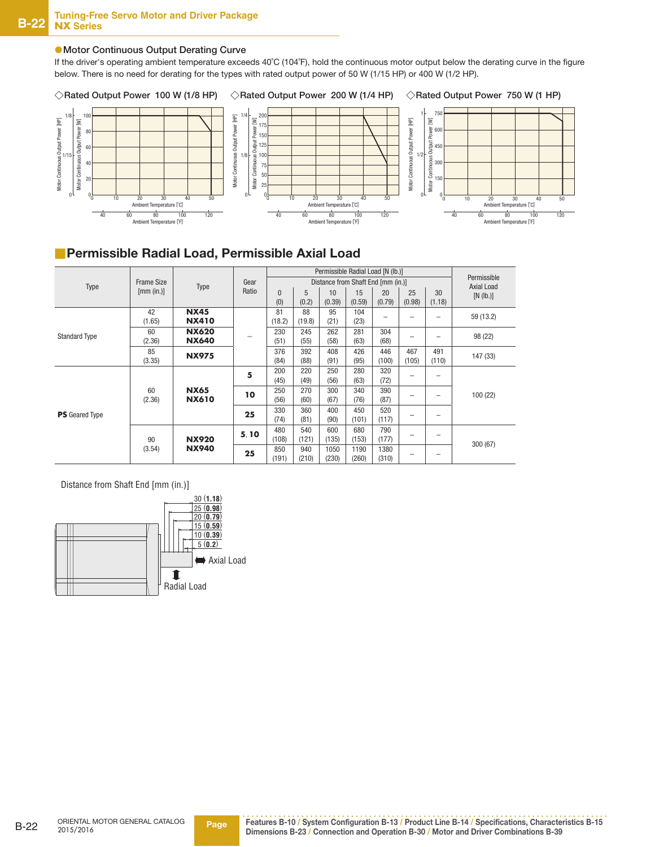#### ●**Motor Continuous Output Derating Curve**

If the driver's operating ambient temperature exceeds 40˚C (104˚F), hold the continuous motor output below the derating curve in the figure below. There is no need for derating for the types with rated output power of 50 W (1/15 HP) or 400 W (1/2 HP).



### **Permissible Radial Load, Permissible Axial Load**

|                       |                   |                   | Permissible Radial Load [N (lb.)] |          |                                    |        |        |        |        |              |                           |
|-----------------------|-------------------|-------------------|-----------------------------------|----------|------------------------------------|--------|--------|--------|--------|--------------|---------------------------|
| Type                  | <b>Frame Size</b> | Type              | Gear                              |          | Distance from Shaft End [mm (in.)] |        |        |        |        |              | Permissible<br>Axial Load |
|                       | [mm (in.)]        |                   | Ratio                             | $\Omega$ | 5                                  | 10     | 15     | 20     | 25     | 30           | [N (lb.)]                 |
|                       |                   |                   |                                   | (0)      | (0.2)                              | (0.39) | (0.59) | (0.79) | (0.98) | (1.18)       |                           |
|                       | 42                | <b>NX45</b>       |                                   | 81       | 88                                 | 95     | 104    |        |        |              | 59 (13.2)                 |
|                       | (1.65)            | <b>NX410</b>      |                                   | (18.2)   | (19.8)                             | (21)   | (23)   |        |        | -            |                           |
| <b>Standard Type</b>  | 60                | <b>NX620</b>      |                                   | 230      | 245                                | 262    | 281    | 304    |        |              | 98 (22)                   |
|                       | (2.36)            | <b>NX640</b>      |                                   | (51)     | (55)                               | (58)   | (63)   | (68)   | -      |              |                           |
|                       | 85                | <b>NX975</b>      |                                   | 376      | 392                                | 408    | 426    | 446    | 467    | 491<br>(110) | 147 (33)                  |
|                       | (3.35)            |                   |                                   | (84)     | (88)                               | (91)   | (95)   | (100)  | (105)  |              |                           |
|                       |                   |                   | 5                                 | 200      | 220                                | 250    | 280    | 320    | -      | -            |                           |
|                       |                   | <b>NX65</b><br>60 |                                   | (45)     | (49)                               | (56)   | (63)   | (72)   |        |              |                           |
|                       |                   |                   | 10                                | 250      | 270                                | 300    | 340    | 390    |        |              | 100 (22)                  |
|                       | (2.36)            | <b>NX610</b>      |                                   | (56)     | (60)                               | (67)   | (76)   | (87)   |        |              |                           |
| <b>PS</b> Geared Type |                   |                   | 25                                | 330      | 360                                | 400    | 450    | 520    | -      |              |                           |
|                       |                   |                   |                                   | (74)     | (81)                               | (90)   | (101)  | (117)  |        | -            |                           |
|                       |                   |                   | 5.10                              | 480      | 540                                | 600    | 680    | 790    |        |              |                           |
|                       | 90                | <b>NX920</b>      |                                   | (108)    | (121)                              | (135)  | (153)  | (177)  |        |              |                           |
|                       | (3.54)            | <b>NX940</b>      | 25                                | 850      | 940                                | 1050   | 1190   | 1380   |        |              | 300(67)                   |
|                       |                   |                   |                                   | (191)    | (210)                              | (230)  | (260)  | (310)  |        |              |                           |

Distance from Shaft End [mm (in.)]

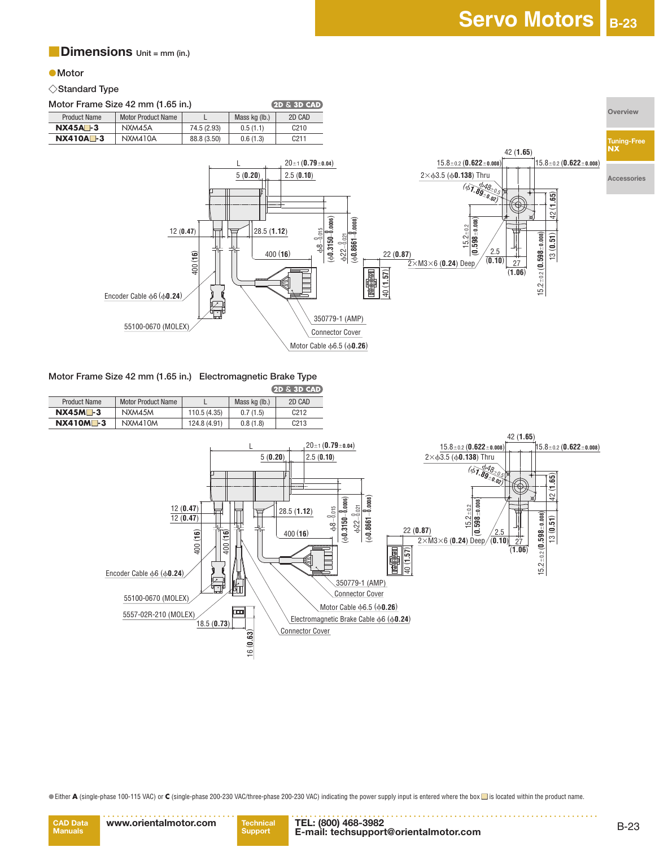#### ■**Dimensions Unit = mm (in.)**

#### ●**Motor**

#### ◇**Standard Type**

**Motor Frame Size 42 mm (1.65 in.)** 



## **Motor Frame Size 42 mm (1.65 in.) Electromagnetic Brake Type**

|                     |                    |              |               | $-12.512.712.7127$ |
|---------------------|--------------------|--------------|---------------|--------------------|
| <b>Product Name</b> | Motor Product Name |              | Mass kg (lb.) | 2D CAD             |
| $NX45M - 3$         | NXM45M             | 110.5 (4.35) | 0.7(1.5)      | C212               |
| $NX410M - 3$        | NXM410M            | 124.8 (4.91) | 0.8(1.8)      | C <sub>213</sub>   |



●Either **A** (single-phase 100-115 VAC) or **C** (single-phase 200-230 VAC/three-phase 200-230 VAC) indicating the power supply input is entered where the box ■ is located within the product name.



**Support TEL: (800) 468-3982 E-mail: techsupport@orientalmotor.com**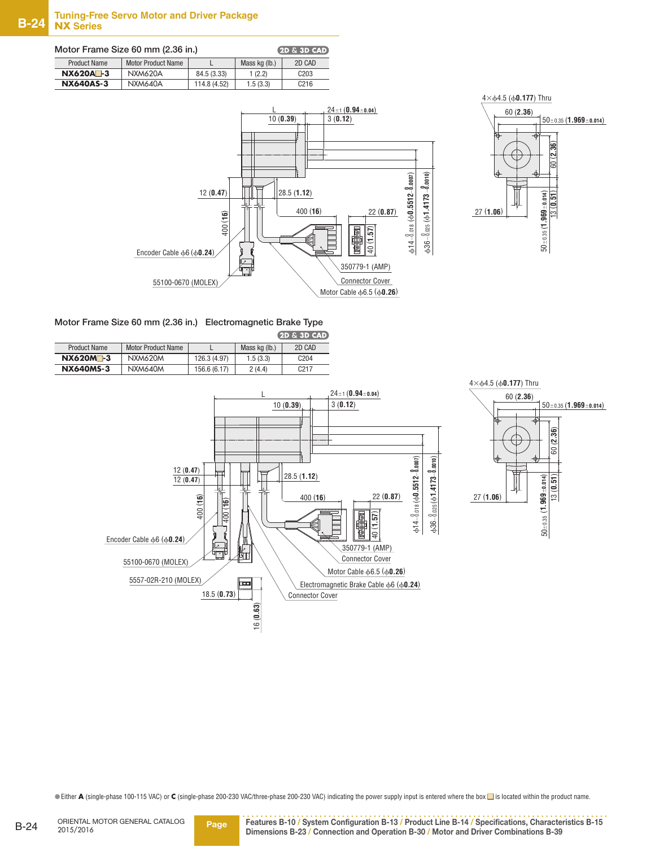| Motor Frame Size 60 mm (2.36 in.) |                           |              |               | $(2D \& 3D$ CAD) |
|-----------------------------------|---------------------------|--------------|---------------|------------------|
| <b>Product Name</b>               | <b>Motor Product Name</b> |              | Mass kg (lb.) | 2D CAD           |
| $NX620A - 3$                      | <b>NXM620A</b>            | 84.5 (3.33)  | 1(2.2)        | C <sub>203</sub> |
| <b>NX640AS-3</b>                  | NXM640A                   | 114.8 (4.52) | 1.5(3.3)      | C <sub>216</sub> |





**Motor Frame Size 60 mm (2.36 in.) Electromagnetic Brake Type**  $9D - 3D - CAD$ 

|                      |                    |              |               | LED Q JD GAD.    |
|----------------------|--------------------|--------------|---------------|------------------|
| <b>Product Name</b>  | Motor Product Name |              | Mass kg (lb.) | 2D CAD           |
| NX620M <sup>-3</sup> | NXM620M            | 126.3 (4.97) | 1.5(3.3)      | C <sub>204</sub> |
| <b>NX640MS-3</b>     | NXM640M            | 156.6 (6.17) | 2(4.4)        | C <sub>217</sub> |





●Either **A** (single-phase 100-115 VAC) or **C** (single-phase 200-230 VAC/three-phase 200-230 VAC) indicating the power supply input is entered where the box ■ is located within the product name.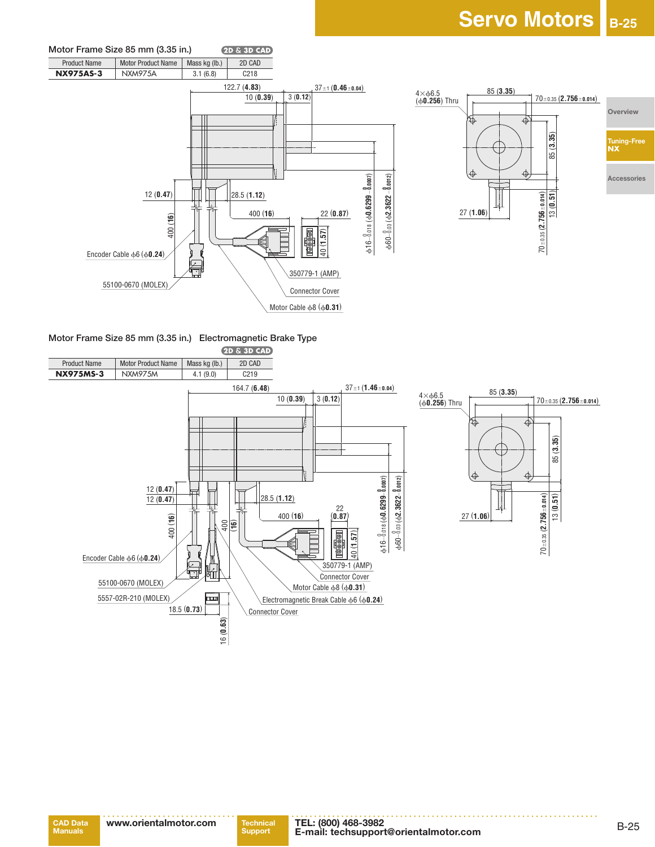



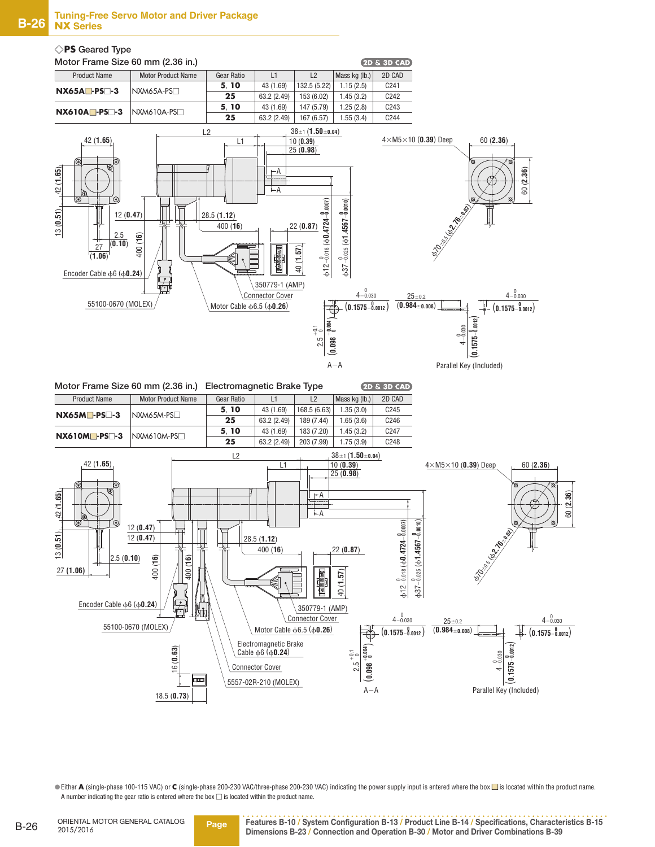

| Motor Frame Size 60 mm (2.36 in.) |                           | <b>Electromagnetic Brake Type</b> |             |              |               | $(2D \& 3D$ CAD) |
|-----------------------------------|---------------------------|-----------------------------------|-------------|--------------|---------------|------------------|
| <b>Product Name</b>               | <b>Motor Product Name</b> | Gear Ratio                        | L1          | L2           | Mass kg (lb.) | 2D CAD           |
| $NX65M$ -PS $\Box$ -3             | $N$ XM65M-PS $\square$    | 5.10                              | 43 (1.69)   | 168.5 (6.63) | 1.35(3.0)     | C <sub>245</sub> |
|                                   |                           | 25                                | 63.2 (2.49) | 189 (7.44)   | 1.65(3.6)     | C <sub>246</sub> |
| $NX610M$ -PS $\Box$ -3            | $NXM610M-PS$              | 5.10                              | 43 (1.69)   | 183 (7.20)   | 1.45(3.2)     | C <sub>247</sub> |
|                                   |                           | 25                                | 63.2 (2.49) | 203 (7.99)   | 1.75(3.9)     | C <sub>248</sub> |



●Either **A** (single-phase 100-115 VAC) or C (single-phase 200-230 VAC/three-phase 200-230 VAC) indicating the power supply input is entered where the box ■ is located within the product name. A number indicating the gear ratio is entered where the box  $\Box$  is located within the product name.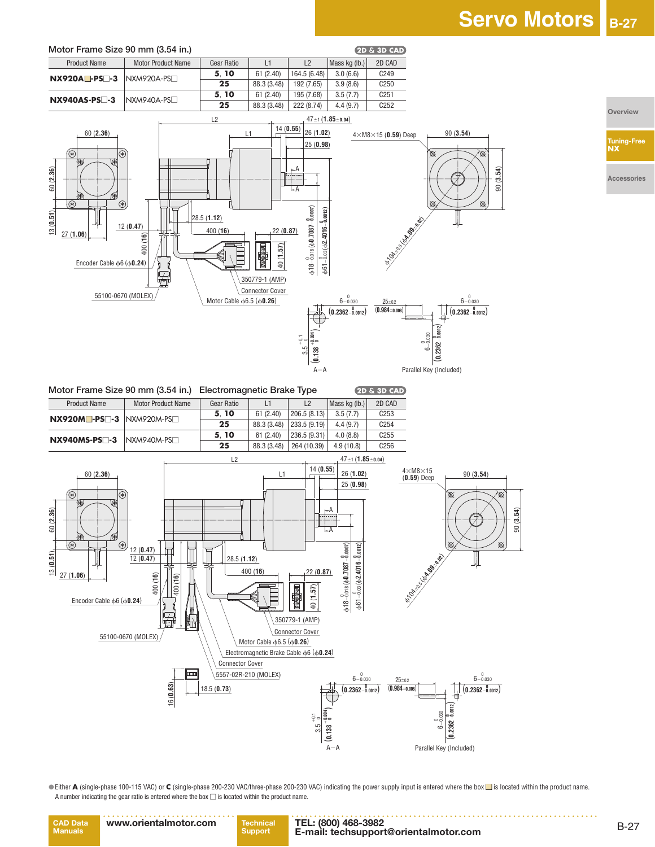

●Either **A** (single-phase 100-115 VAC) or C (single-phase 200-230 VAC/three-phase 200-230 VAC) indicating the power supply input is entered where the box ■ is located within the product name. A number indicating the gear ratio is entered where the box  $\Box$  is located within the product name.

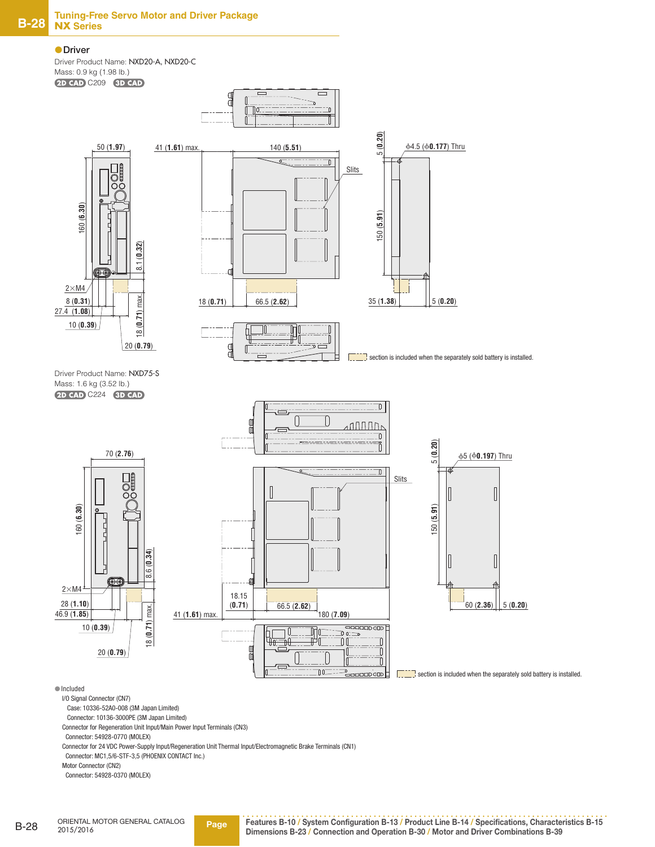#### ●**Driver**

Driver Product Name: NXD20-A, NXD20-C Mass: 0.9 kg (1.98 lb.) 2D CAD C209 3D CAD



Motor Connector (CN2)

Connector: 54928-0370 (MOLEX)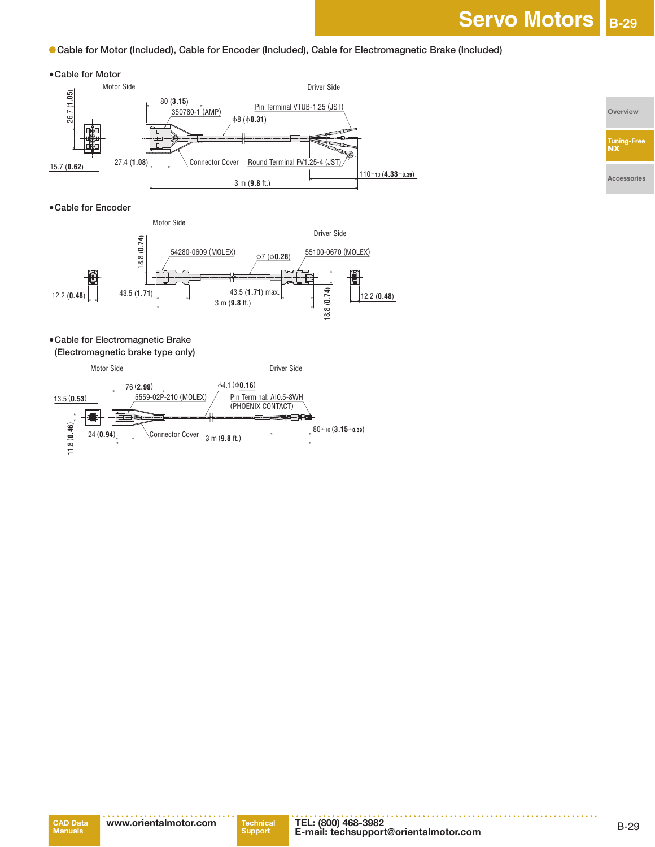●**Cable for Motor (Included), Cable for Encoder (Included), Cable for Electromagnetic Brake (Included)**

#### ● **Cable for Motor**



#### ● **Cable for Encoder**



## ● **Cable for Electromagnetic Brake**

**(Electromagnetic brake type only)**



**Overview**

**Tuning-Free NX**

**Accessories**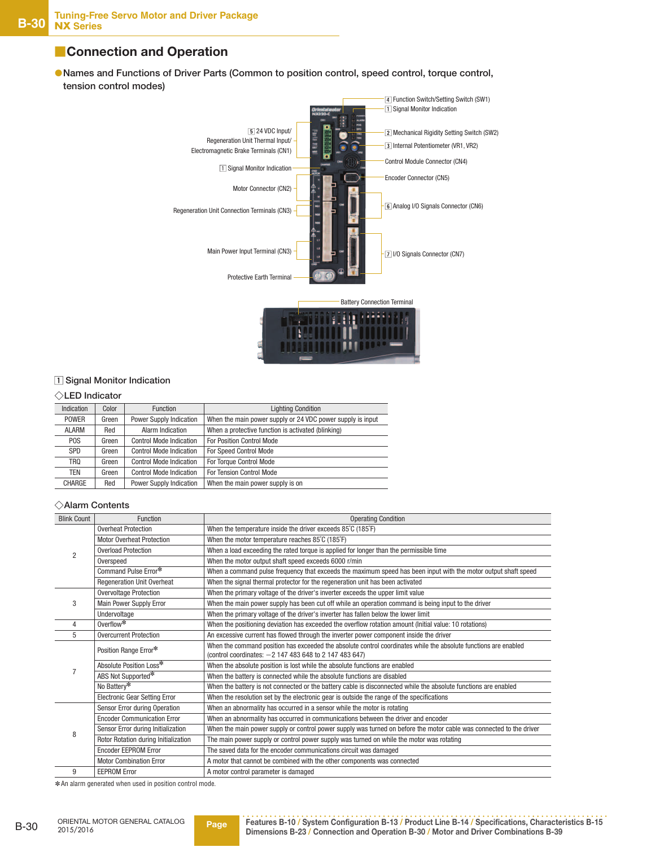## ■**Connection and Operation**

 ●**Names and Functions of Driver Parts (Common to position control, speed control, torque control, tension control modes)**



#### **Signal Monitor Indication**

#### ◇**LED Indicator**

| Indication       | Color | <b>Function</b>                | <b>Lighting Condition</b>                                  |
|------------------|-------|--------------------------------|------------------------------------------------------------|
| <b>POWER</b>     | Green | <b>Power Supply Indication</b> | When the main power supply or 24 VDC power supply is input |
| <b>ALARM</b>     | Red   | Alarm Indication               | When a protective function is activated (blinking)         |
| P <sub>O</sub> S | Green | <b>Control Mode Indication</b> | For Position Control Mode                                  |
| <b>SPD</b>       | Green | <b>Control Mode Indication</b> | For Speed Control Mode                                     |
| TRQ              | Green | <b>Control Mode Indication</b> | For Torque Control Mode                                    |
| TEN              | Green | <b>Control Mode Indication</b> | For Tension Control Mode                                   |
| <b>CHARGE</b>    | Red   | <b>Power Supply Indication</b> | When the main power supply is on                           |

#### ◇**Alarm Contents**

| <b>Blink Count</b> | Function                             | <b>Operating Condition</b>                                                                                          |
|--------------------|--------------------------------------|---------------------------------------------------------------------------------------------------------------------|
|                    | <b>Overheat Protection</b>           | When the temperature inside the driver exceeds 85°C (185°F)                                                         |
| $\overline{2}$     | <b>Motor Overheat Protection</b>     | When the motor temperature reaches 85°C (185°F)                                                                     |
|                    | <b>Overload Protection</b>           | When a load exceeding the rated torque is applied for longer than the permissible time                              |
|                    | Overspeed                            | When the motor output shaft speed exceeds 6000 r/min                                                                |
|                    | Command Pulse Error*                 | When a command pulse frequency that exceeds the maximum speed has been input with the motor output shaft speed      |
|                    | <b>Regeneration Unit Overheat</b>    | When the signal thermal protector for the regeneration unit has been activated                                      |
|                    | <b>Overvoltage Protection</b>        | When the primary voltage of the driver's inverter exceeds the upper limit value                                     |
| 3                  | Main Power Supply Error              | When the main power supply has been cut off while an operation command is being input to the driver                 |
|                    | Undervoltage                         | When the primary voltage of the driver's inverter has fallen below the lower limit                                  |
| 4                  | Overflow*                            | When the positioning deviation has exceeded the overflow rotation amount (Initial value: 10 rotations)              |
| 5                  | <b>Overcurrent Protection</b>        | An excessive current has flowed through the inverter power component inside the driver                              |
|                    | Position Range Error*                | When the command position has exceeded the absolute control coordinates while the absolute functions are enabled    |
|                    |                                      | (control coordinates: -2 147 483 648 to 2 147 483 647)                                                              |
|                    | Absolute Position Loss*              | When the absolute position is lost while the absolute functions are enabled                                         |
|                    | ABS Not Supported*                   | When the battery is connected while the absolute functions are disabled                                             |
|                    | No Battery*                          | When the battery is not connected or the battery cable is disconnected while the absolute functions are enabled     |
|                    | <b>Electronic Gear Setting Error</b> | When the resolution set by the electronic gear is outside the range of the specifications                           |
|                    | Sensor Error during Operation        | When an abnormality has occurred in a sensor while the motor is rotating                                            |
|                    | <b>Encoder Communication Error</b>   | When an abnormality has occurred in communications between the driver and encoder                                   |
| 8                  | Sensor Error during Initialization   | When the main power supply or control power supply was turned on before the motor cable was connected to the driver |
|                    | Rotor Rotation during Initialization | The main power supply or control power supply was turned on while the motor was rotating                            |
|                    | <b>Encoder EEPROM Error</b>          | The saved data for the encoder communications circuit was damaged                                                   |
|                    | <b>Motor Combination Error</b>       | A motor that cannot be combined with the other components was connected                                             |
| 9                  | <b>EEPROM Error</b>                  | A motor control parameter is damaged                                                                                |

✽An alarm generated when used in position control mode.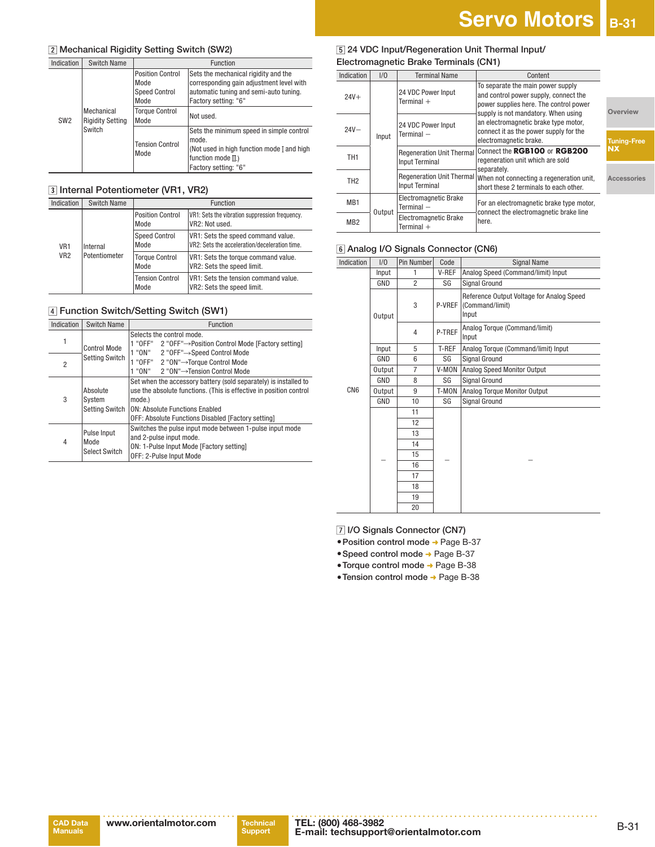ries

#### **Mechanical Rigidity Setting Switch (SW2)**

| Indication      | <b>Switch Name</b>                              |                                                                 | Function                                                                                                                                           |
|-----------------|-------------------------------------------------|-----------------------------------------------------------------|----------------------------------------------------------------------------------------------------------------------------------------------------|
| SW <sub>2</sub> | Mechanical<br><b>Rigidity Setting</b><br>Switch | <b>Position Control</b><br>Mode<br><b>Speed Control</b><br>Mode | Sets the mechanical rigidity and the<br>corresponding gain adjustment level with<br>automatic tuning and semi-auto tuning.<br>Factory setting: "6" |
|                 |                                                 | <b>Torque Control</b><br>Mode                                   | Not used.                                                                                                                                          |
|                 |                                                 | <b>Tension Control</b><br>Mode                                  | Sets the minimum speed in simple control<br>mode.<br>(Not used in high function mode I and high<br>function mode $\Pi$ .)<br>Factory setting: "6"  |

#### **Internal Potentiometer (VR1, VR2)**

| Indication                         | <b>Switch Name</b>        |                                 | Function                                                                            |
|------------------------------------|---------------------------|---------------------------------|-------------------------------------------------------------------------------------|
| VR <sub>1</sub><br>VR <sub>2</sub> | Internal<br>Potentiometer | <b>Position Control</b><br>Mode | VR1: Sets the vibration suppression frequency.<br>VR2: Not used.                    |
|                                    |                           | <b>Speed Control</b><br>Mode    | VR1: Sets the speed command value.<br>VR2: Sets the acceleration/deceleration time. |
|                                    |                           | <b>Torque Control</b><br>Mode   | VR1: Sets the torque command value.<br>VR2: Sets the speed limit.                   |
|                                    |                           | <b>Tension Control</b><br>Mode  | VR1: Sets the tension command value.<br>VR2: Sets the speed limit.                  |

#### **Function Switch/Setting Switch (SW1)**

| Indication     | <b>Switch Name</b>                          | Function                                                                                                                                                                                                                                 |  |  |
|----------------|---------------------------------------------|------------------------------------------------------------------------------------------------------------------------------------------------------------------------------------------------------------------------------------------|--|--|
|                | Control Mode                                | Selects the control mode.<br>1 "OFF"<br>2 "OFF"→Position Control Mode [Factory setting]                                                                                                                                                  |  |  |
| $\overline{2}$ | <b>Setting Switch</b>                       | 1 "ON"<br>2 "OFF"→Speed Control Mode<br>1 "OFF" 2 "ON"→Torque Control Mode<br>1 "ON"<br>2 "ON"→Tension Control Mode                                                                                                                      |  |  |
| 3              | Absolute<br>System<br><b>Setting Switch</b> | Set when the accessory battery (sold separately) is installed to<br>use the absolute functions. (This is effective in position control<br>mode.)<br>ON: Absolute Functions Enabled<br>OFF: Absolute Functions Disabled [Factory setting] |  |  |
| 4              | Pulse Input<br>Mode<br><b>Select Switch</b> | Switches the pulse input mode between 1-pulse input mode<br>and 2-pulse input mode.<br>ON: 1-Pulse Input Mode [Factory setting]<br>OFF: 2-Pulse Input Mode                                                                               |  |  |

#### **24 VDC Input/Regeneration Unit Thermal Input/ Electromagnetic Brake Terminals (CN1)**

| Indication      | 1/0    | <b>Terminal Name</b>                                      | Content                                                                                                                                                     |                    |
|-----------------|--------|-----------------------------------------------------------|-------------------------------------------------------------------------------------------------------------------------------------------------------------|--------------------|
| $24V +$         |        | 24 VDC Power Input<br>Terminal $+$                        | To separate the main power supply<br>and control power supply, connect the<br>power supplies here. The control power<br>supply is not mandatory. When using | Overview           |
| $24V -$         | Input  | 24 VDC Power Input<br>Terminal $-$                        | an electromagnetic brake type motor,<br>connect it as the power supply for the<br>electromagnetic brake.                                                    | <b>Tuning-Free</b> |
| TH <sub>1</sub> |        | <b>Regeneration Unit Thermal</b><br><b>Input Terminal</b> | Connect the RGB100 or RGB200<br>regeneration unit which are sold<br>separately.                                                                             | <b>NX</b>          |
| TH <sub>2</sub> |        | Regeneration Unit Thermal<br><b>Input Terminal</b>        | When not connecting a regeneration unit,<br>short these 2 terminals to each other.                                                                          | Accessories        |
| MB <sub>1</sub> |        | <b>Electromagnetic Brake</b><br>$Terminal -$              | For an electromagnetic brake type motor,<br>connect the electromagnetic brake line                                                                          |                    |
| MB <sub>2</sub> | Output | <b>Electromagnetic Brake</b><br>Terminal $+$              | here.                                                                                                                                                       |                    |

#### **Analog I/O Signals Connector (CN6)**

| Indication      | 1/0           | Pin Number     | Code   | <b>Signal Name</b>                                                    |  |
|-----------------|---------------|----------------|--------|-----------------------------------------------------------------------|--|
|                 | Input         | 1              | V-REF  | Analog Speed (Command/limit) Input                                    |  |
|                 | GND           | $\overline{2}$ | SG     | Signal Ground                                                         |  |
|                 | Output        | 3              | P-VREF | Reference Output Voltage for Analog Speed<br>(Command/limit)<br>Input |  |
|                 |               | $\overline{4}$ | P-TREF | Analog Torque (Command/limit)<br>Input                                |  |
|                 | Input         | 5              | T-REF  | Analog Torque (Command/limit) Input                                   |  |
|                 | GND           | 6              | SG     | Signal Ground                                                         |  |
|                 | Output        | 7              | V-MON  | Analog Speed Monitor Output                                           |  |
|                 | GND           | 8              | SG     | <b>Signal Ground</b>                                                  |  |
| CN <sub>6</sub> | <b>Output</b> | 9              | T-MON  | Analog Torque Monitor Output                                          |  |
|                 | GND           | 10             | SG     | Signal Ground                                                         |  |
|                 |               | 11             |        |                                                                       |  |
|                 |               | 12             |        |                                                                       |  |
|                 |               | 13             |        |                                                                       |  |
|                 |               | 14             |        |                                                                       |  |
|                 |               | 15             |        |                                                                       |  |
|                 |               | 16             |        |                                                                       |  |
|                 |               | 17             |        |                                                                       |  |
|                 |               | 18             |        |                                                                       |  |
|                 |               | 19             |        |                                                                       |  |
|                 |               | 20             |        |                                                                       |  |

 **I/O Signals Connector (CN7)**

- **Position control mode** ➜ Page B-37
- ●**Speed control mode** ➜ Page B-37
- ●**Torque control mode** ➜ Page B-38
- ●**Tension control mode** ➜ Page B-38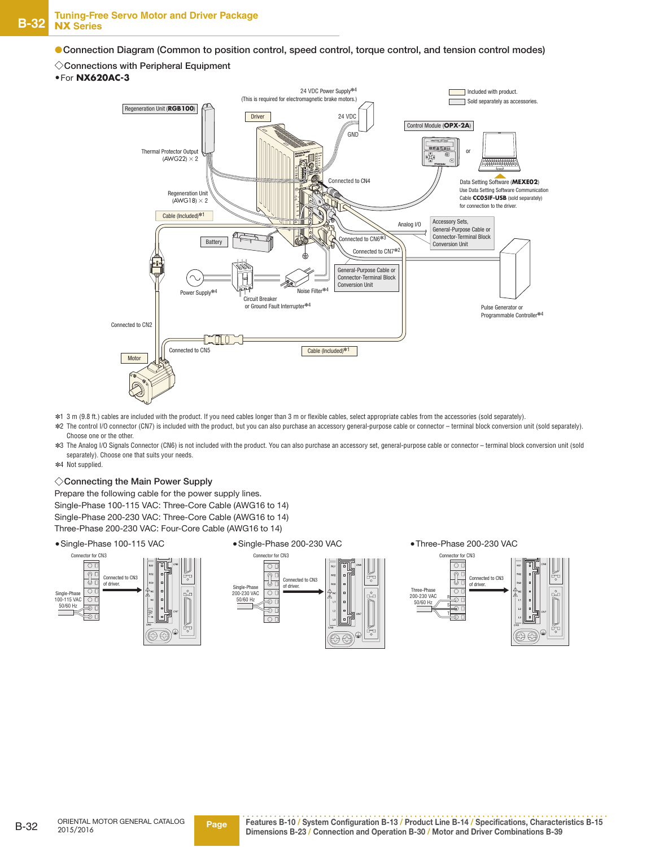●**Connection Diagram (Common to position control, speed control, torque control, and tension control modes)**

#### ◇**Connections with Peripheral Equipment**

#### ●For **NX620AC-3**



- ✽1 3 m (9.8 ft.) cables are included with the product. If you need cables longer than 3 m or flexible cables, select appropriate cables from the accessories (sold separately).
- ✽2 The control I/O connector (CN7) is included with the product, but you can also purchase an accessory general-purpose cable or connector terminal block conversion unit (sold separately). Choose one or the other.
- ✽3 The Analog I/O Signals Connector (CN6) is not included with the product. You can also purchase an accessory set, general-purpose cable or connector terminal block conversion unit (sold separately). Choose one that suits your needs.
- ✽4 Not supplied.

#### ◇**Connecting the Main Power Supply**

Prepare the following cable for the power supply lines. Single-Phase 100-115 VAC: Three-Core Cable (AWG16 to 14) Single-Phase 200-230 VAC: Three-Core Cable (AWG16 to 14) Three-Phase 200-230 VAC: Four-Core Cable (AWG16 to 14)

●Single-Phase 100-115 VAC





●Three-Phase 200-230 VAC

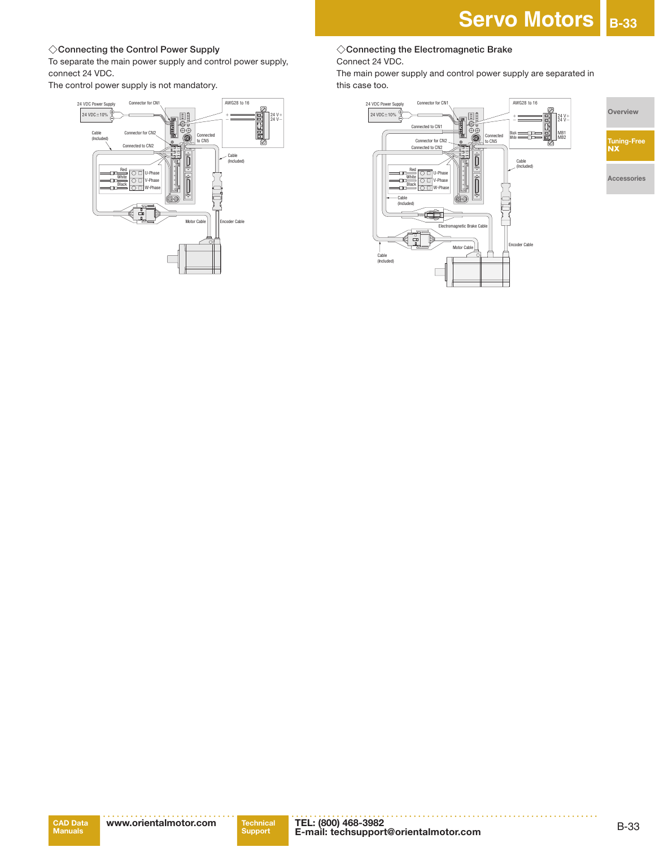#### ◇**Connecting the Control Power Supply**

To separate the main power supply and control power supply, connect 24 VDC.

The control power supply is not mandatory.



# Servo Motors **B-33**

#### ◇**Connecting the Electromagnetic Brake** Connect 24 VDC.

The main power supply and control power supply are separated in this case too.

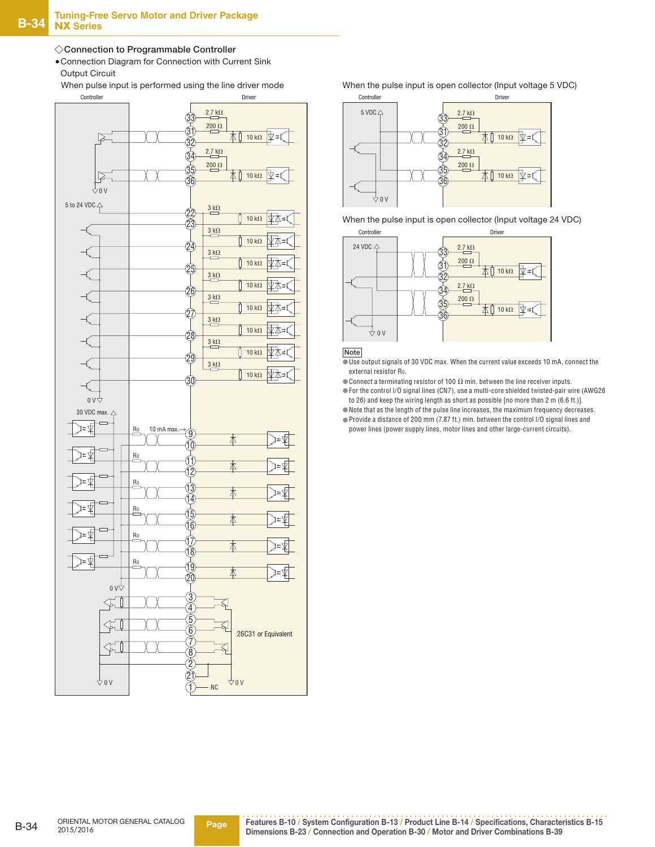#### ◇**Connection to Programmable Controller**

 ●Connection Diagram for Connection with Current Sink Output Circuit

When pulse input is performed using the line driver mode



When the pulse input is open collector (Input voltage 5 VDC)



When the pulse input is open collector (Input voltage 24 VDC)



#### **Note**

■Use output signals of 30 VDC max. When the current value exceeds 10 mA, connect the external resistor Ro.

 $\bullet$  Connect a terminating resistor of 100  $\Omega$  min. between the line receiver inputs.

 ●For the control I/O signal lines (CN7), use a multi-core shielded twisted-pair wire (AWG28 to 26) and keep the wiring length as short as possible [no more than 2 m (6.6 ft.)].

●Note that as the length of the pulse line increases, the maximum frequency decreases.

 ●Provide a distance of 200 mm (7.87 ft.) min. between the control I/O signal lines and power lines (power supply lines, motor lines and other large-current circuits).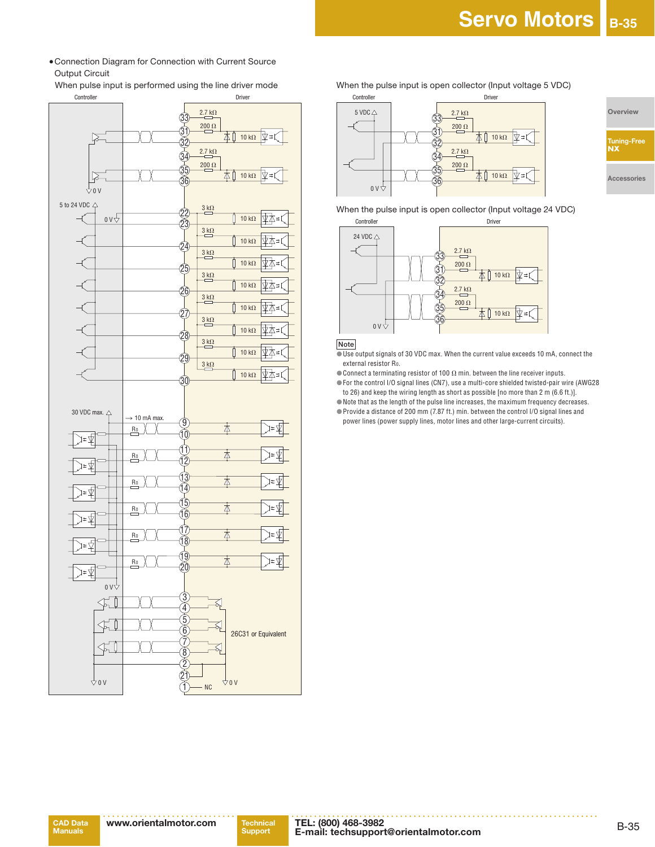●Connection Diagram for Connection with Current Source Output Circuit

When pulse input is performed using the line driver mode



When the pulse input is open collector (Input voltage 5 VDC)



**Overview**

**Tuning-Free NX**

**Accessories**

When the pulse input is open collector (Input voltage 24 VDC)



#### **Note**

 $\overline{\bullet}$  Use output signals of 30 VDC max. When the current value exceeds 10 mA, connect the external resistor R0.

 $\bullet$  Connect a terminating resistor of 100  $\Omega$  min. between the line receiver inputs. ●For the control I/O signal lines (CN7), use a multi-core shielded twisted-pair wire (AWG28

to 26) and keep the wiring length as short as possible [no more than 2 m (6.6 ft.)]. ●Note that as the length of the pulse line increases, the maximum frequency decreases.

 ●Provide a distance of 200 mm (7.87 ft.) min. between the control I/O signal lines and power lines (power supply lines, motor lines and other large-current circuits).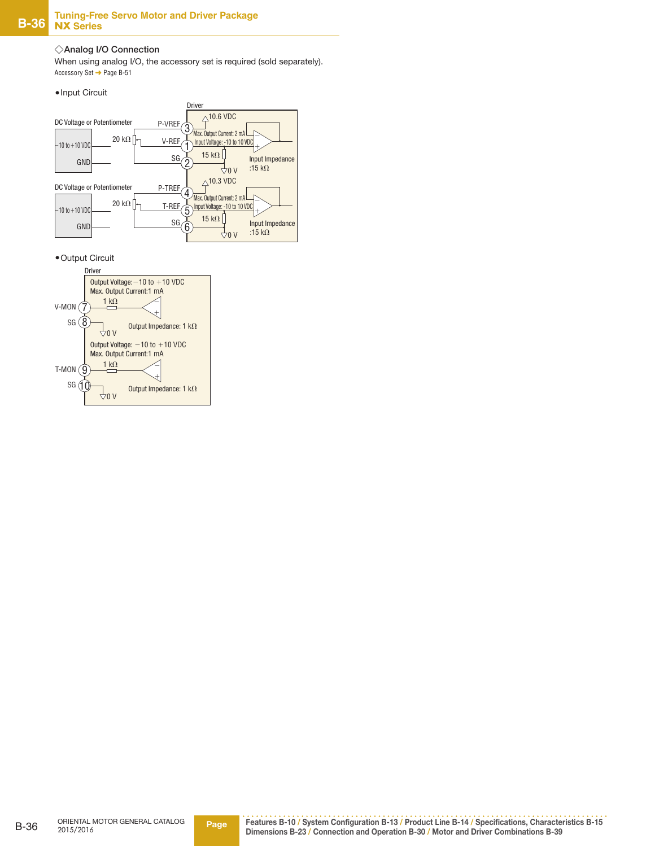#### ◇**Analog I/O Connection**

When using analog I/O, the accessory set is required (sold separately). Accessory Set ➜ Page B-51





●Output Circuit

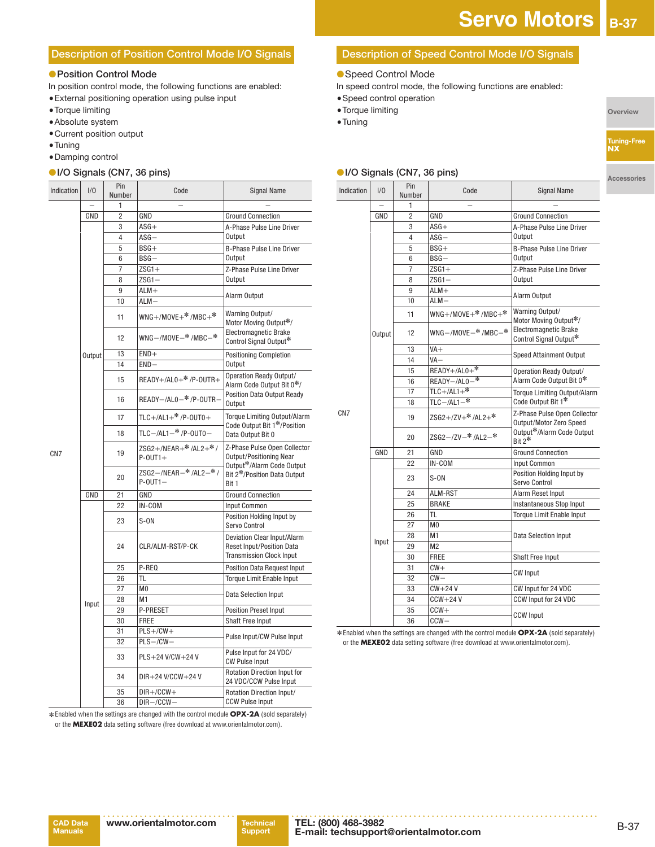#### **Description of Position Control Mode I/O Signals**

#### ● **Position Control Mode**

In position control mode, the following functions are enabled:

- ●External positioning operation using pulse input
- ●Torque limiting
- ●Absolute system
- ●Current position output
- ●Tuning ● Damping control
- ●**I/O Signals (CN7, 36 pins)**

| Indication      | 1/0    | <b>Pin</b><br>Number | Code                                                | <b>Signal Name</b>                                                                          |                  |
|-----------------|--------|----------------------|-----------------------------------------------------|---------------------------------------------------------------------------------------------|------------------|
|                 |        | 1                    |                                                     |                                                                                             |                  |
|                 | GND    | 2                    | GND                                                 | <b>Ground Connection</b>                                                                    |                  |
|                 |        | 3                    | $ASG+$                                              | A-Phase Pulse Line Driver                                                                   |                  |
|                 |        | 4                    | $ASG -$                                             | Output                                                                                      |                  |
|                 |        | 5                    | $BSG+$                                              | <b>B-Phase Pulse Line Driver</b>                                                            |                  |
|                 |        | 6                    | $BSG -$                                             | Output                                                                                      |                  |
|                 |        | 7                    | $ZSG1+$                                             | Z-Phase Pulse Line Driver                                                                   |                  |
|                 |        | 8                    | $ZSG1 -$                                            | Output                                                                                      |                  |
|                 |        | 9                    | $ALM+$                                              |                                                                                             |                  |
|                 |        | 10                   | $ALM -$                                             | Alarm Output                                                                                |                  |
|                 |        | 11                   | $WNG+$ /MOVE $+$ <sup>*</sup> /MBC $+$ <sup>*</sup> | Warning Output/<br>Motor Moving Output*/                                                    |                  |
|                 |        | 12                   | WNG-/MOVE-*/MBC-*                                   | Electromagnetic Brake<br>Control Signal Output*                                             |                  |
|                 | Output | 13                   | $END+$                                              | <b>Positioning Completion</b>                                                               |                  |
|                 |        | 14                   | $END-$                                              | Output                                                                                      |                  |
|                 |        | 15                   | $READV + /AL0 + * /P - OUTR +$                      | Operation Ready Output/<br>Alarm Code Output Bit 0*/                                        |                  |
|                 |        | 16                   | READY-/AL0-*/P-OUTR-                                | <b>Position Data Output Ready</b><br>Output                                                 |                  |
|                 |        | 17                   | $TLC+/AL1+*/P-OUT0+$                                | <b>Torque Limiting Output/Alarm</b>                                                         |                  |
| CN <sub>7</sub> |        | 18                   | TLC-/AL1-*/P-0UT0-                                  | Code Output Bit 1*/Position<br>Data Output Bit 0                                            |                  |
|                 |        | 19                   | ZSG2+/NEAR+*/AL2+*/<br>$P-OUT1+$                    | Z-Phase Pulse Open Collector<br><b>Output/Positioning Near</b><br>Output*/Alarm Code Output |                  |
|                 |        | 20                   | ZSG2-/NEAR-*/AL2-*/<br>$P-OUT1-$                    | Bit 2*/Position Data Output<br>Bit 1                                                        |                  |
|                 | GND    | 21                   | GND                                                 | <b>Ground Connection</b>                                                                    |                  |
|                 |        | 22                   | IN-COM                                              | Input Common                                                                                |                  |
|                 |        | 23                   | $S-ON$                                              | Position Holding Input by<br>Servo Control                                                  |                  |
|                 |        |                      |                                                     | 24                                                                                          | CLR/ALM-RST/P-CK |
|                 |        | 25                   | P-REQ                                               | <b>Position Data Request Input</b>                                                          |                  |
|                 |        | 26                   | TL                                                  | <b>Torque Limit Enable Input</b>                                                            |                  |
|                 |        | 27                   | M <sub>0</sub>                                      |                                                                                             |                  |
|                 | Input  | 28                   | M1                                                  | Data Selection Input                                                                        |                  |
|                 |        | 29                   | P-PRESET                                            | <b>Position Preset Input</b>                                                                |                  |
|                 |        | 30                   | <b>FREE</b>                                         | <b>Shaft Free Input</b>                                                                     |                  |
|                 |        | 31                   | $PLS+/CW+$                                          | Pulse Input/CW Pulse Input                                                                  |                  |
|                 |        | 32                   | $PLS - / CW -$                                      |                                                                                             |                  |
|                 |        | 33                   | PLS+24 V/CW+24 V                                    | Pulse Input for 24 VDC/<br><b>CW Pulse Input</b>                                            |                  |
|                 |        | 34                   | DIR+24 V/CCW+24 V                                   | <b>Rotation Direction Input for</b><br>24 VDC/CCW Pulse Input                               |                  |
|                 |        | 35                   | $DIR+/CCW+$                                         | Rotation Direction Input/                                                                   |                  |
|                 |        | 36                   | $DIR - /CCW -$                                      | <b>CCW Pulse Input</b>                                                                      |                  |

 ✽ Enabled when the settings are changed with the control module **OPX-2A** (sold separately) or the **MEXE02** data setting software (free download at www.orientalmotor.com).

#### **Description of Speed Control Mode I/O Signals**

- Speed Control Mode
- In speed control mode, the following functions are enabled:
- ●Speed control operation
- ●Torque limiting
- ●Tuning

**Overview**

**Accessories**

#### ●**I/O Signals (CN7, 36 pins)**

| Indication      | 1/0    | Pin<br>Number  | Code                       | <b>Signal Name</b>                                      |
|-----------------|--------|----------------|----------------------------|---------------------------------------------------------|
|                 |        | 1              |                            |                                                         |
|                 | GND    | $\overline{2}$ | GND                        | <b>Ground Connection</b>                                |
|                 |        | 3              | $ASG+$                     | A-Phase Pulse Line Driver                               |
|                 |        | 4              | $ASG -$                    | Output                                                  |
|                 |        | 5              | $BSG+$                     | B-Phase Pulse Line Driver                               |
|                 |        | 6              | $BSG -$                    | Output                                                  |
|                 |        | 7              | $ZSG1+$                    | Z-Phase Pulse Line Driver                               |
|                 |        | 8              | $ZSG1-$                    | Output                                                  |
|                 |        | 9              | $ALM+$                     | Alarm Output                                            |
|                 |        | 10             | $ALM -$                    |                                                         |
|                 |        | 11             | $WNG+ /MOVE+* /MBC+*$      | Warning Output/<br>Motor Moving Output*/                |
|                 | Output | 12             | $WNG - /M0VE - * /MBC - *$ | Electromagnetic Brake<br>Control Signal Output*         |
|                 |        | 13             | $VA+$                      | Speed Attainment Output                                 |
|                 |        | 14             | VA-                        |                                                         |
|                 |        | 15             | READY+/AL0+*               | Operation Ready Output/                                 |
|                 |        | 16             | READY-ALO-*                | Alarm Code Output Bit 0*                                |
|                 |        | 17             | $TLC + /AL1 +$             | Torque Limiting Output/Alarm                            |
|                 |        | 18             | $TLC - /AL1 -$ *           | Code Output Bit 1*                                      |
| CN <sub>7</sub> |        | 19             | ZSG2+/ZV+*/AL2+*           | Z-Phase Pulse Open Collector<br>Output/Motor Zero Speed |
|                 |        | 20             | $ZSG2 - / ZV - * /AL2 - *$ | Output*/Alarm Code Output<br>Rit 2*                     |
|                 | GND    | 21             | GND                        | <b>Ground Connection</b>                                |
|                 |        | 22             | IN-COM                     | Input Common                                            |
|                 |        | 23             | $S-ON$                     | Position Holding Input by<br>Servo Control              |
|                 |        | 24             | ALM-RST                    | Alarm Reset Input                                       |
|                 |        | 25             | <b>BRAKE</b>               | Instantaneous Stop Input                                |
|                 |        | 26             | TL.                        | <b>Torque Limit Enable Input</b>                        |
|                 |        | 27             | M <sub>0</sub>             |                                                         |
|                 |        | 28             | M <sub>1</sub>             | <b>Data Selection Input</b>                             |
|                 | Input  | 29             | M <sub>2</sub>             |                                                         |
|                 |        | 30             | <b>FREE</b>                | <b>Shaft Free Input</b>                                 |
|                 |        | 31             | $CW +$                     | <b>CW Input</b>                                         |
|                 |        | 32             | $CW -$                     |                                                         |
|                 |        | 33             | $CW+24V$                   | CW Input for 24 VDC                                     |
|                 |        | 34             | $CCW + 24V$                | CCW Input for 24 VDC                                    |
|                 |        | 35             | $CCW +$                    |                                                         |
|                 |        | 36             | $CCW -$                    | <b>CCW Input</b>                                        |

 ✽ Enabled when the settings are changed with the control module **OPX-2A** (sold separately) or the **MEXE02** data setting software (free download at www.orientalmotor.com).

CN7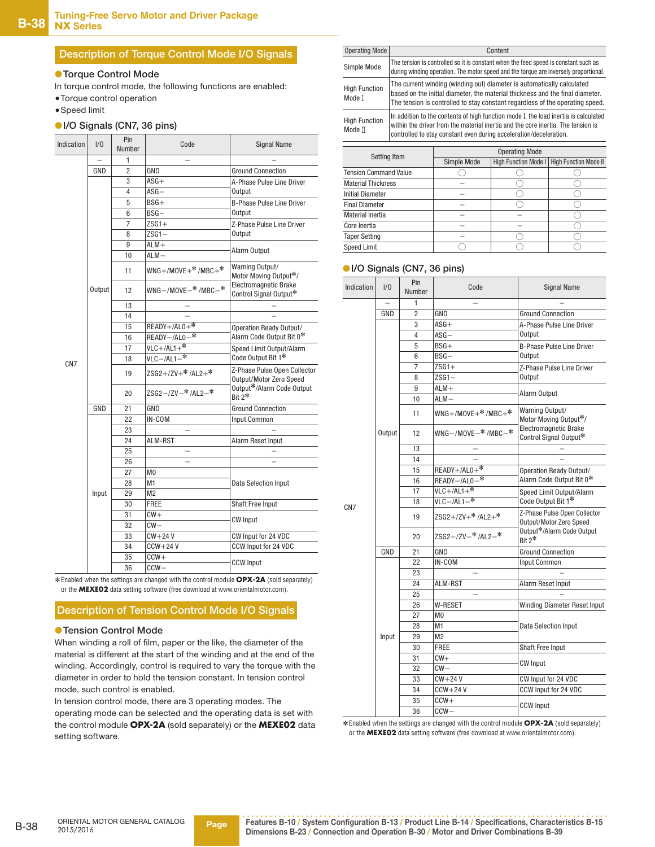#### **Description of Torque Control Mode I/O Signals**

#### ●**Torque Control Mode**

In torque control mode, the following functions are enabled:

- ●Torque control operation
- ●Speed limit

#### ●**I/O Signals (CN7, 36 pins)**

| Indication      | 1/0    | Pin<br>Number  | Code                                                | <b>Signal Name</b>                                      |
|-----------------|--------|----------------|-----------------------------------------------------|---------------------------------------------------------|
|                 |        | $\mathbf{1}$   |                                                     |                                                         |
|                 | GND    | $\overline{2}$ | GND                                                 | <b>Ground Connection</b>                                |
|                 |        | 3              | $ASG+$                                              | A-Phase Pulse Line Driver                               |
|                 |        | 4              | $ASG -$                                             | Output                                                  |
|                 |        | 5              | $BSG+$                                              | <b>B-Phase Pulse Line Driver</b>                        |
|                 |        | 6              | $BSG -$                                             | <b>Output</b>                                           |
|                 |        | 7              | $ZSG1+$                                             | Z-Phase Pulse Line Driver                               |
|                 |        | 8              | $ZSG1 -$                                            | <b>Output</b>                                           |
|                 |        | 9              | $ALM+$                                              |                                                         |
|                 |        | 10             | $ALM -$                                             | Alarm Output                                            |
|                 |        | 11             | $WNG+$ /MOVE $+$ <sup>*</sup> /MBC $+$ <sup>*</sup> | Warning Output/<br>Motor Moving Output*/                |
|                 | Output | 12             | $WNG - /MONE - * /MBC - *$                          | Electromagnetic Brake<br>Control Signal Output*         |
|                 |        | 13             |                                                     |                                                         |
|                 |        | 14             |                                                     |                                                         |
|                 |        | 15             | $READV + /AL0 +$                                    | Operation Ready Output/                                 |
|                 |        | 16             | READY-/AL0-*                                        | Alarm Code Output Bit 0*                                |
|                 |        | 17             | $VLC+/AL1+$ *                                       | Speed Limit Output/Alarm                                |
| CN <sub>7</sub> |        | 18             | $VLC - /AL1 -$ *                                    | Code Output Bit 1*                                      |
|                 |        | 19             | ZSG2+/ZV+*/AL2+*                                    | Z-Phase Pulse Open Collector<br>Output/Motor Zero Speed |
|                 |        | 20             | $ZSG2 - /ZV - * /AL2 - *$                           | Output*/Alarm Code Output<br>Bit $2^*$                  |
|                 | GND    | 21             | GND                                                 | <b>Ground Connection</b>                                |
|                 |        | 22             | IN-COM                                              | Input Common                                            |
|                 |        | 23             |                                                     |                                                         |
|                 |        | 24             | ALM-RST                                             | Alarm Reset Input                                       |
|                 |        | 25             |                                                     |                                                         |
|                 |        | 26             |                                                     |                                                         |
|                 |        | 27             | M <sub>0</sub>                                      |                                                         |
|                 |        | 28             | M1                                                  | <b>Data Selection Input</b>                             |
|                 | Input  | 29             | M <sub>2</sub>                                      |                                                         |
|                 |        | 30             | <b>FREE</b>                                         | Shaft Free Input                                        |
|                 |        | 31             | $CW +$                                              | <b>CW Input</b>                                         |
|                 |        | 32             | $CW -$                                              |                                                         |
|                 |        | 33             | $CW+24V$                                            | CW Input for 24 VDC                                     |
|                 |        | 34             | $CCW+24V$                                           | CCW Input for 24 VDC                                    |
|                 |        | 35             | $CCW+$                                              | <b>CCW Input</b>                                        |
|                 |        | 36             | $CCW -$                                             |                                                         |

 ✽ Enabled when the settings are changed with the control module **OPX-2A** (sold separately) or the **MEXE02** data setting software (free download at www.orientalmotor.com).

#### **Description of Tension Control Mode I/O Signals**

#### ● **Tension Control Mode**

When winding a roll of film, paper or the like, the diameter of the material is different at the start of the winding and at the end of the winding. Accordingly, control is required to vary the torque with the diameter in order to hold the tension constant. In tension control mode, such control is enabled.

In tension control mode, there are 3 operating modes. The operating mode can be selected and the operating data is set with the control module **OPX-2A** (sold separately) or the **MEXE02** data setting software.

| Operating Mode                 | Content                                                                                                                                                                                                                                       |
|--------------------------------|-----------------------------------------------------------------------------------------------------------------------------------------------------------------------------------------------------------------------------------------------|
| Simple Mode                    | The tension is controlled so it is constant when the feed speed is constant such as<br>during winding operation. The motor speed and the torque are inversely proportional.                                                                   |
| <b>High Function</b><br>Mode T | The current winding (winding out) diameter is automatically calculated<br>based on the initial diameter, the material thickness and the final diameter.<br>The tension is controlled to stay constant regardless of the operating speed.      |
| <b>High Function</b><br>Mode ∏ | In addition to the contents of high function mode I, the load inertia is calculated<br>within the driver from the material inertia and the core inertia. The tension is<br>controlled to stay constant even during acceleration/deceleration. |

|                              | <b>Operating Mode</b> |  |                                              |  |
|------------------------------|-----------------------|--|----------------------------------------------|--|
| Setting Item                 | Simple Mode           |  | High Function Mode I   High Function Mode II |  |
| <b>Tension Command Value</b> |                       |  |                                              |  |
| <b>Material Thickness</b>    |                       |  |                                              |  |
| <b>Initial Diameter</b>      |                       |  |                                              |  |
| <b>Final Diameter</b>        |                       |  |                                              |  |
| Material Inertia             |                       |  |                                              |  |
| Core Inertia                 |                       |  |                                              |  |
| <b>Taper Setting</b>         |                       |  |                                              |  |
| Speed Limit                  |                       |  |                                              |  |

#### ●**I/O Signals (CN7, 36 pins)**

| Indication      | 1/0    | Pin<br>Number  | Code                         | <b>Signal Name</b>                                      |
|-----------------|--------|----------------|------------------------------|---------------------------------------------------------|
|                 |        | 1              |                              |                                                         |
|                 | GND    | $\overline{2}$ | GND                          | <b>Ground Connection</b>                                |
|                 |        | 3              | $ASG+$                       | A-Phase Pulse Line Driver                               |
|                 |        | 4              | $ASG -$                      | <b>Output</b>                                           |
|                 |        | 5              | BSG+                         | <b>B-Phase Pulse Line Driver</b>                        |
|                 |        | 6              | $BSG -$                      | Output                                                  |
|                 |        | 7              | $ZSG1+$                      | Z-Phase Pulse Line Driver                               |
|                 |        | 8              | $ZSG1 -$                     | Output                                                  |
|                 |        | 9              | $ALM+$                       |                                                         |
|                 |        | 10             | $ALM -$                      | Alarm Output                                            |
|                 |        | 11             | $WNG+$ /MOVE $+$ */MBC $+$ * | Warning Output/<br>Motor Moving Output*/                |
|                 | Output | 12             | $WNG - / MOVE - * / MBC - *$ | Electromagnetic Brake<br>Control Signal Output*         |
|                 |        | 13             |                              |                                                         |
|                 |        | 14             |                              |                                                         |
|                 |        | 15             | $READV + /AL0 +$             | Operation Ready Output/                                 |
|                 |        | 16             | READY-/AL0-*                 | Alarm Code Output Bit 0*                                |
|                 |        | 17             | $VLC+ /AL1+$ *               | Speed Limit Output/Alarm                                |
| CN <sub>7</sub> |        | 18             | $VLC - /AL1 -$ *             | Code Output Bit 1*                                      |
|                 |        | 19             | ZSG2+/ZV+*/AL2+*             | Z-Phase Pulse Open Collector<br>Output/Motor Zero Speed |
|                 |        | 20             | ZSG2-/ZV-*/AL2-*             | Output*/Alarm Code Output<br>$Rit 2*$                   |
|                 | GND    | 21             | GND                          | <b>Ground Connection</b>                                |
|                 |        | 22             | IN-COM                       | Input Common                                            |
|                 |        | 23             |                              |                                                         |
|                 |        | 24             | ALM-RST                      | Alarm Reset Input                                       |
|                 |        | 25             |                              |                                                         |
|                 |        | 26             | <b>W-RESET</b>               | Winding Diameter Reset Input                            |
|                 |        | 27             | M <sub>0</sub>               |                                                         |
|                 |        | 28             | M1                           | <b>Data Selection Input</b>                             |
|                 | Input  | 29             | M <sub>2</sub>               |                                                         |
|                 |        | 30             | <b>FREE</b>                  | <b>Shaft Free Input</b>                                 |
|                 |        | 31             | $CW +$                       | <b>CW Input</b>                                         |
|                 |        | 32             | $CW -$                       |                                                         |
|                 |        | 33             | $CW+24V$                     | CW Input for 24 VDC                                     |
|                 |        | 34             | $CCW+24V$                    | CCW Input for 24 VDC                                    |
|                 |        | 35             | $CCW+$                       | <b>CCW Input</b>                                        |
|                 |        | 36             | $CCW -$                      |                                                         |

 ✽ Enabled when the settings are changed with the control module **OPX-2A** (sold separately) or the **MEXE02** data setting software (free download at www.orientalmotor.com).